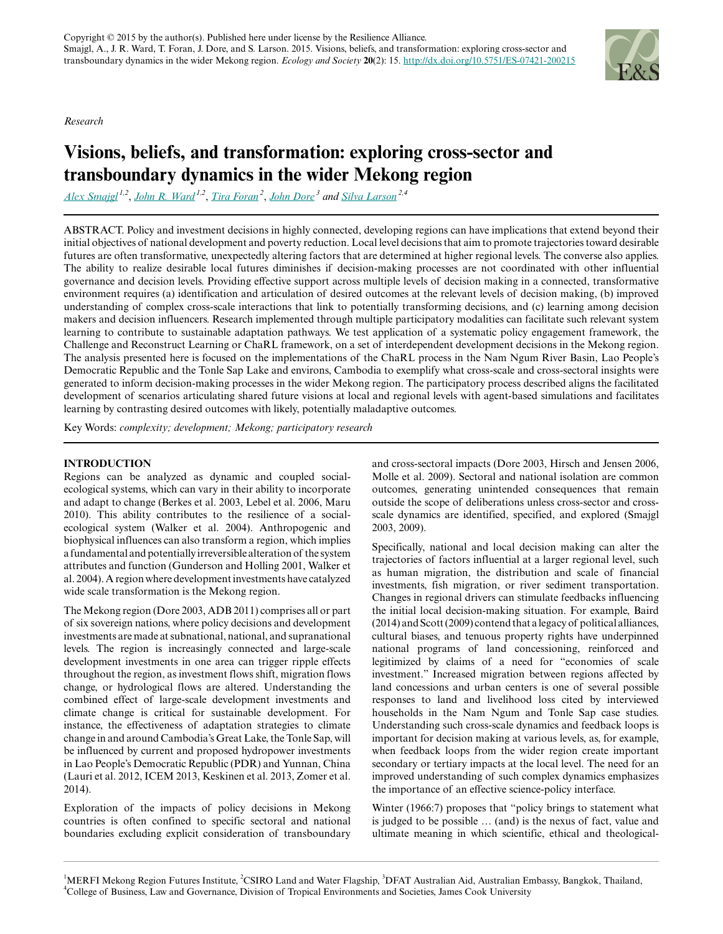*Research*



# **Visions, beliefs, and transformation: exploring cross-sector and transboundary dynamics in the wider Mekong region**

*[Alex Smajgl](mailto:alex.smajgl@mekongfutures.com) 1,2* , *[John R. Ward](mailto:john.ward@mekongfutures.com) 1,2* , *[Tira Foran](mailto:tira.foran@csiro.au)<sup>2</sup>* , *[John Dore](mailto:John.Dore@ausaid.gov.au)<sup>3</sup> and [Silva Larson](mailto:silva.larson@jcu.edu.au) 2,4*

ABSTRACT. Policy and investment decisions in highly connected, developing regions can have implications that extend beyond their initial objectives of national development and poverty reduction. Local level decisions that aim to promote trajectories toward desirable futures are often transformative, unexpectedly altering factors that are determined at higher regional levels. The converse also applies. The ability to realize desirable local futures diminishes if decision-making processes are not coordinated with other influential governance and decision levels. Providing effective support across multiple levels of decision making in a connected, transformative environment requires (a) identification and articulation of desired outcomes at the relevant levels of decision making, (b) improved understanding of complex cross-scale interactions that link to potentially transforming decisions, and (c) learning among decision makers and decision influencers. Research implemented through multiple participatory modalities can facilitate such relevant system learning to contribute to sustainable adaptation pathways. We test application of a systematic policy engagement framework, the Challenge and Reconstruct Learning or ChaRL framework, on a set of interdependent development decisions in the Mekong region. The analysis presented here is focused on the implementations of the ChaRL process in the Nam Ngum River Basin, Lao People's Democratic Republic and the Tonle Sap Lake and environs, Cambodia to exemplify what cross-scale and cross-sectoral insights were generated to inform decision-making processes in the wider Mekong region. The participatory process described aligns the facilitated development of scenarios articulating shared future visions at local and regional levels with agent-based simulations and facilitates learning by contrasting desired outcomes with likely, potentially maladaptive outcomes.

Key Words: *complexity; development; Mekong; participatory research*

# **INTRODUCTION**

Regions can be analyzed as dynamic and coupled socialecological systems, which can vary in their ability to incorporate and adapt to change (Berkes et al. 2003, Lebel et al. 2006, Maru 2010). This ability contributes to the resilience of a socialecological system (Walker et al. 2004). Anthropogenic and biophysical influences can also transform a region, which implies a fundamental and potentially irreversible alteration of the system attributes and function (Gunderson and Holling 2001, Walker et al. 2004). A region where development investments have catalyzed wide scale transformation is the Mekong region.

The Mekong region (Dore 2003, ADB 2011) comprises all or part of six sovereign nations, where policy decisions and development investments are made at subnational, national, and supranational levels. The region is increasingly connected and large-scale development investments in one area can trigger ripple effects throughout the region, as investment flows shift, migration flows change, or hydrological flows are altered. Understanding the combined effect of large-scale development investments and climate change is critical for sustainable development. For instance, the effectiveness of adaptation strategies to climate change in and around Cambodia's Great Lake, the Tonle Sap, will be influenced by current and proposed hydropower investments in Lao People's Democratic Republic (PDR) and Yunnan, China (Lauri et al. 2012, ICEM 2013, Keskinen et al. 2013, Zomer et al. 2014).

Exploration of the impacts of policy decisions in Mekong countries is often confined to specific sectoral and national boundaries excluding explicit consideration of transboundary and cross-sectoral impacts (Dore 2003, Hirsch and Jensen 2006, Molle et al. 2009). Sectoral and national isolation are common outcomes, generating unintended consequences that remain outside the scope of deliberations unless cross-sector and crossscale dynamics are identified, specified, and explored (Smajgl 2003, 2009).

Specifically, national and local decision making can alter the trajectories of factors influential at a larger regional level, such as human migration, the distribution and scale of financial investments, fish migration, or river sediment transportation. Changes in regional drivers can stimulate feedbacks influencing the initial local decision-making situation. For example, Baird (2014) and Scott (2009) contend that a legacy of political alliances, cultural biases, and tenuous property rights have underpinned national programs of land concessioning, reinforced and legitimized by claims of a need for "economies of scale investment." Increased migration between regions affected by land concessions and urban centers is one of several possible responses to land and livelihood loss cited by interviewed households in the Nam Ngum and Tonle Sap case studies. Understanding such cross-scale dynamics and feedback loops is important for decision making at various levels, as, for example, when feedback loops from the wider region create important secondary or tertiary impacts at the local level. The need for an improved understanding of such complex dynamics emphasizes the importance of an effective science-policy interface.

Winter (1966:7) proposes that "policy brings to statement what is judged to be possible … (and) is the nexus of fact, value and ultimate meaning in which scientific, ethical and theological-

<sup>&</sup>lt;sup>1</sup>MERFI Mekong Region Futures Institute, <sup>2</sup>CSIRO Land and Water Flagship, <sup>3</sup>DFAT Australian Aid, Australian Embassy, Bangkok, Thailand, <sup>4</sup>College of Business, Law and Governance, Division of Tropical Environments and Societies, James Cook University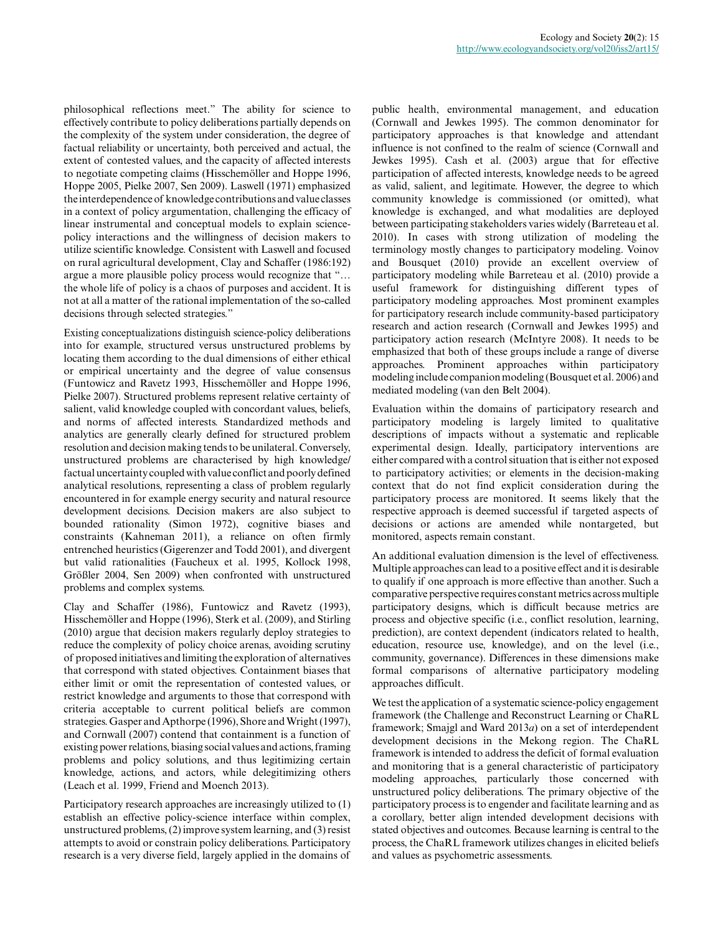philosophical reflections meet." The ability for science to effectively contribute to policy deliberations partially depends on the complexity of the system under consideration, the degree of factual reliability or uncertainty, both perceived and actual, the extent of contested values, and the capacity of affected interests to negotiate competing claims (Hisschemöller and Hoppe 1996, Hoppe 2005, Pielke 2007, Sen 2009). Laswell (1971) emphasized the interdependence of knowledge contributions and value classes in a context of policy argumentation, challenging the efficacy of linear instrumental and conceptual models to explain sciencepolicy interactions and the willingness of decision makers to utilize scientific knowledge. Consistent with Laswell and focused on rural agricultural development, Clay and Schaffer (1986:192) argue a more plausible policy process would recognize that "… the whole life of policy is a chaos of purposes and accident. It is not at all a matter of the rational implementation of the so-called decisions through selected strategies."

Existing conceptualizations distinguish science-policy deliberations into for example, structured versus unstructured problems by locating them according to the dual dimensions of either ethical or empirical uncertainty and the degree of value consensus (Funtowicz and Ravetz 1993, Hisschemöller and Hoppe 1996, Pielke 2007). Structured problems represent relative certainty of salient, valid knowledge coupled with concordant values, beliefs, and norms of affected interests. Standardized methods and analytics are generally clearly defined for structured problem resolution and decision making tends to be unilateral. Conversely, unstructured problems are characterised by high knowledge/ factual uncertainty coupled with value conflict and poorly defined analytical resolutions, representing a class of problem regularly encountered in for example energy security and natural resource development decisions. Decision makers are also subject to bounded rationality (Simon 1972), cognitive biases and constraints (Kahneman 2011), a reliance on often firmly entrenched heuristics (Gigerenzer and Todd 2001), and divergent but valid rationalities (Faucheux et al. 1995, Kollock 1998, Größler 2004, Sen 2009) when confronted with unstructured problems and complex systems.

Clay and Schaffer (1986), Funtowicz and Ravetz (1993), Hisschemöller and Hoppe (1996), Sterk et al. (2009), and Stirling (2010) argue that decision makers regularly deploy strategies to reduce the complexity of policy choice arenas, avoiding scrutiny of proposed initiatives and limiting the exploration of alternatives that correspond with stated objectives. Containment biases that either limit or omit the representation of contested values, or restrict knowledge and arguments to those that correspond with criteria acceptable to current political beliefs are common strategies. Gasper and Apthorpe (1996), Shore and Wright (1997), and Cornwall (2007) contend that containment is a function of existing power relations, biasing social values and actions, framing problems and policy solutions, and thus legitimizing certain knowledge, actions, and actors, while delegitimizing others (Leach et al. 1999, Friend and Moench 2013).

Participatory research approaches are increasingly utilized to (1) establish an effective policy-science interface within complex, unstructured problems, (2) improve system learning, and (3) resist attempts to avoid or constrain policy deliberations. Participatory research is a very diverse field, largely applied in the domains of public health, environmental management, and education (Cornwall and Jewkes 1995). The common denominator for participatory approaches is that knowledge and attendant influence is not confined to the realm of science (Cornwall and Jewkes 1995). Cash et al. (2003) argue that for effective participation of affected interests, knowledge needs to be agreed as valid, salient, and legitimate. However, the degree to which community knowledge is commissioned (or omitted), what knowledge is exchanged, and what modalities are deployed between participating stakeholders varies widely (Barreteau et al. 2010). In cases with strong utilization of modeling the terminology mostly changes to participatory modeling. Voinov and Bousquet (2010) provide an excellent overview of participatory modeling while Barreteau et al. (2010) provide a useful framework for distinguishing different types of participatory modeling approaches. Most prominent examples for participatory research include community-based participatory research and action research (Cornwall and Jewkes 1995) and participatory action research (McIntyre 2008). It needs to be emphasized that both of these groups include a range of diverse approaches. Prominent approaches within participatory modeling include companion modeling (Bousquet et al. 2006) and mediated modeling (van den Belt 2004).

Evaluation within the domains of participatory research and participatory modeling is largely limited to qualitative descriptions of impacts without a systematic and replicable experimental design. Ideally, participatory interventions are either compared with a control situation that is either not exposed to participatory activities; or elements in the decision-making context that do not find explicit consideration during the participatory process are monitored. It seems likely that the respective approach is deemed successful if targeted aspects of decisions or actions are amended while nontargeted, but monitored, aspects remain constant.

An additional evaluation dimension is the level of effectiveness. Multiple approaches can lead to a positive effect and it is desirable to qualify if one approach is more effective than another. Such a comparative perspective requires constant metrics across multiple participatory designs, which is difficult because metrics are process and objective specific (i.e., conflict resolution, learning, prediction), are context dependent (indicators related to health, education, resource use, knowledge), and on the level (i.e., community, governance). Differences in these dimensions make formal comparisons of alternative participatory modeling approaches difficult.

We test the application of a systematic science-policy engagement framework (the Challenge and Reconstruct Learning or ChaRL framework; Smajgl and Ward 2013*a*) on a set of interdependent development decisions in the Mekong region. The ChaRL framework is intended to address the deficit of formal evaluation and monitoring that is a general characteristic of participatory modeling approaches, particularly those concerned with unstructured policy deliberations. The primary objective of the participatory process is to engender and facilitate learning and as a corollary, better align intended development decisions with stated objectives and outcomes. Because learning is central to the process, the ChaRL framework utilizes changes in elicited beliefs and values as psychometric assessments.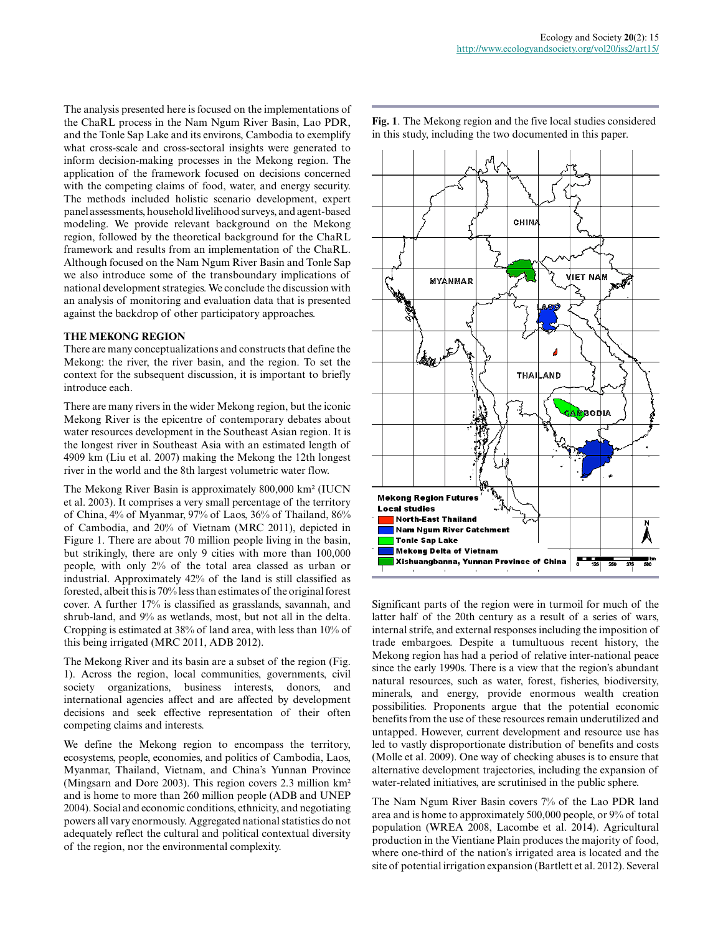The analysis presented here is focused on the implementations of the ChaRL process in the Nam Ngum River Basin, Lao PDR, and the Tonle Sap Lake and its environs, Cambodia to exemplify what cross-scale and cross-sectoral insights were generated to inform decision-making processes in the Mekong region. The application of the framework focused on decisions concerned with the competing claims of food, water, and energy security. The methods included holistic scenario development, expert panel assessments, household livelihood surveys, and agent-based modeling. We provide relevant background on the Mekong region, followed by the theoretical background for the ChaRL framework and results from an implementation of the ChaRL. Although focused on the Nam Ngum River Basin and Tonle Sap we also introduce some of the transboundary implications of national development strategies. We conclude the discussion with an analysis of monitoring and evaluation data that is presented against the backdrop of other participatory approaches.

## **THE MEKONG REGION**

There are many conceptualizations and constructs that define the Mekong: the river, the river basin, and the region. To set the context for the subsequent discussion, it is important to briefly introduce each.

There are many rivers in the wider Mekong region, but the iconic Mekong River is the epicentre of contemporary debates about water resources development in the Southeast Asian region. It is the longest river in Southeast Asia with an estimated length of 4909 km (Liu et al. 2007) making the Mekong the 12th longest river in the world and the 8th largest volumetric water flow.

The Mekong River Basin is approximately 800,000 km² (IUCN et al. 2003). It comprises a very small percentage of the territory of China, 4% of Myanmar, 97% of Laos, 36% of Thailand, 86% of Cambodia, and 20% of Vietnam (MRC 2011), depicted in Figure 1. There are about 70 million people living in the basin, but strikingly, there are only 9 cities with more than 100,000 people, with only 2% of the total area classed as urban or industrial. Approximately 42% of the land is still classified as forested, albeit this is 70% less than estimates of the original forest cover. A further 17% is classified as grasslands, savannah, and shrub-land, and 9% as wetlands, most, but not all in the delta. Cropping is estimated at 38% of land area, with less than 10% of this being irrigated (MRC 2011, ADB 2012).

The Mekong River and its basin are a subset of the region (Fig. 1). Across the region, local communities, governments, civil society organizations, business interests, donors, and international agencies affect and are affected by development decisions and seek effective representation of their often competing claims and interests.

We define the Mekong region to encompass the territory, ecosystems, people, economies, and politics of Cambodia, Laos, Myanmar, Thailand, Vietnam, and China's Yunnan Province (Mingsarn and Dore 2003). This region covers 2.3 million km² and is home to more than 260 million people (ADB and UNEP 2004). Social and economic conditions, ethnicity, and negotiating powers all vary enormously. Aggregated national statistics do not adequately reflect the cultural and political contextual diversity of the region, nor the environmental complexity.

**Fig. 1**. The Mekong region and the five local studies considered in this study, including the two documented in this paper.



Significant parts of the region were in turmoil for much of the latter half of the 20th century as a result of a series of wars, internal strife, and external responses including the imposition of trade embargoes. Despite a tumultuous recent history, the Mekong region has had a period of relative inter-national peace since the early 1990s. There is a view that the region's abundant natural resources, such as water, forest, fisheries, biodiversity, minerals, and energy, provide enormous wealth creation possibilities. Proponents argue that the potential economic benefits from the use of these resources remain underutilized and untapped. However, current development and resource use has led to vastly disproportionate distribution of benefits and costs (Molle et al. 2009). One way of checking abuses is to ensure that alternative development trajectories, including the expansion of water-related initiatives, are scrutinised in the public sphere.

The Nam Ngum River Basin covers 7% of the Lao PDR land area and is home to approximately 500,000 people, or 9% of total population (WREA 2008, Lacombe et al. 2014). Agricultural production in the Vientiane Plain produces the majority of food, where one-third of the nation's irrigated area is located and the site of potential irrigation expansion (Bartlett et al. 2012). Several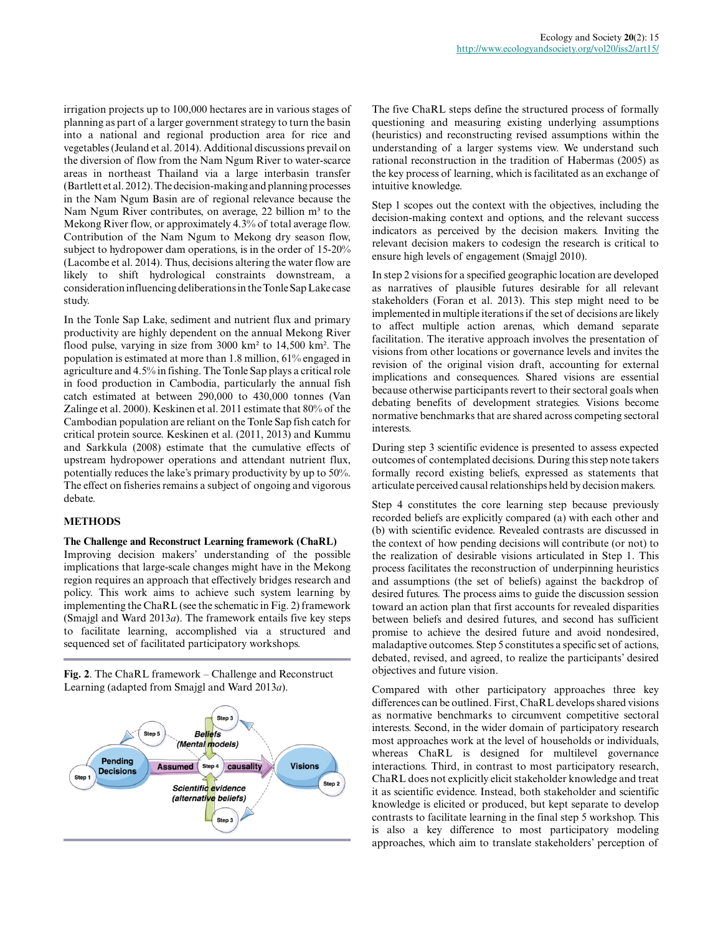irrigation projects up to 100,000 hectares are in various stages of planning as part of a larger government strategy to turn the basin into a national and regional production area for rice and vegetables (Jeuland et al. 2014). Additional discussions prevail on the diversion of flow from the Nam Ngum River to water-scarce areas in northeast Thailand via a large interbasin transfer (Bartlett et al. 2012). The decision-making and planning processes in the Nam Ngum Basin are of regional relevance because the Nam Ngum River contributes, on average, 22 billion  $m<sup>3</sup>$  to the Mekong River flow, or approximately 4.3% of total average flow. Contribution of the Nam Ngum to Mekong dry season flow, subject to hydropower dam operations, is in the order of 15-20% (Lacombe et al. 2014). Thus, decisions altering the water flow are likely to shift hydrological constraints downstream, a consideration influencing deliberations in the Tonle Sap Lake case study.

In the Tonle Sap Lake, sediment and nutrient flux and primary productivity are highly dependent on the annual Mekong River flood pulse, varying in size from 3000 km² to 14,500 km². The population is estimated at more than 1.8 million, 61% engaged in agriculture and 4.5% in fishing. The Tonle Sap plays a critical role in food production in Cambodia, particularly the annual fish catch estimated at between 290,000 to 430,000 tonnes (Van Zalinge et al. 2000). Keskinen et al. 2011 estimate that 80% of the Cambodian population are reliant on the Tonle Sap fish catch for critical protein source. Keskinen et al. (2011, 2013) and Kummu and Sarkkula (2008) estimate that the cumulative effects of upstream hydropower operations and attendant nutrient flux, potentially reduces the lake's primary productivity by up to 50%. The effect on fisheries remains a subject of ongoing and vigorous debate.

# **METHODS**

## **The Challenge and Reconstruct Learning framework (ChaRL)**

Improving decision makers' understanding of the possible implications that large-scale changes might have in the Mekong region requires an approach that effectively bridges research and policy. This work aims to achieve such system learning by implementing the ChaRL (see the schematic in Fig. 2) framework (Smajgl and Ward 2013*a*). The framework entails five key steps to facilitate learning, accomplished via a structured and sequenced set of facilitated participatory workshops.

**Fig. 2**. The ChaRL framework – Challenge and Reconstruct Learning (adapted from Smajgl and Ward 2013*a*).



The five ChaRL steps define the structured process of formally questioning and measuring existing underlying assumptions (heuristics) and reconstructing revised assumptions within the understanding of a larger systems view. We understand such rational reconstruction in the tradition of Habermas (2005) as the key process of learning, which is facilitated as an exchange of intuitive knowledge.

Step 1 scopes out the context with the objectives, including the decision-making context and options, and the relevant success indicators as perceived by the decision makers. Inviting the relevant decision makers to codesign the research is critical to ensure high levels of engagement (Smajgl 2010).

In step 2 visions for a specified geographic location are developed as narratives of plausible futures desirable for all relevant stakeholders (Foran et al. 2013). This step might need to be implemented in multiple iterations if the set of decisions are likely to affect multiple action arenas, which demand separate facilitation. The iterative approach involves the presentation of visions from other locations or governance levels and invites the revision of the original vision draft, accounting for external implications and consequences. Shared visions are essential because otherwise participants revert to their sectoral goals when debating benefits of development strategies. Visions become normative benchmarks that are shared across competing sectoral interests.

During step 3 scientific evidence is presented to assess expected outcomes of contemplated decisions. During this step note takers formally record existing beliefs, expressed as statements that articulate perceived causal relationships held by decision makers.

Step 4 constitutes the core learning step because previously recorded beliefs are explicitly compared (a) with each other and (b) with scientific evidence. Revealed contrasts are discussed in the context of how pending decisions will contribute (or not) to the realization of desirable visions articulated in Step 1. This process facilitates the reconstruction of underpinning heuristics and assumptions (the set of beliefs) against the backdrop of desired futures. The process aims to guide the discussion session toward an action plan that first accounts for revealed disparities between beliefs and desired futures, and second has sufficient promise to achieve the desired future and avoid nondesired, maladaptive outcomes. Step 5 constitutes a specific set of actions, debated, revised, and agreed, to realize the participants' desired objectives and future vision.

Compared with other participatory approaches three key differences can be outlined. First, ChaRL develops shared visions as normative benchmarks to circumvent competitive sectoral interests. Second, in the wider domain of participatory research most approaches work at the level of households or individuals, whereas ChaRL is designed for multilevel governance interactions. Third, in contrast to most participatory research, ChaRL does not explicitly elicit stakeholder knowledge and treat it as scientific evidence. Instead, both stakeholder and scientific knowledge is elicited or produced, but kept separate to develop contrasts to facilitate learning in the final step 5 workshop. This is also a key difference to most participatory modeling approaches, which aim to translate stakeholders' perception of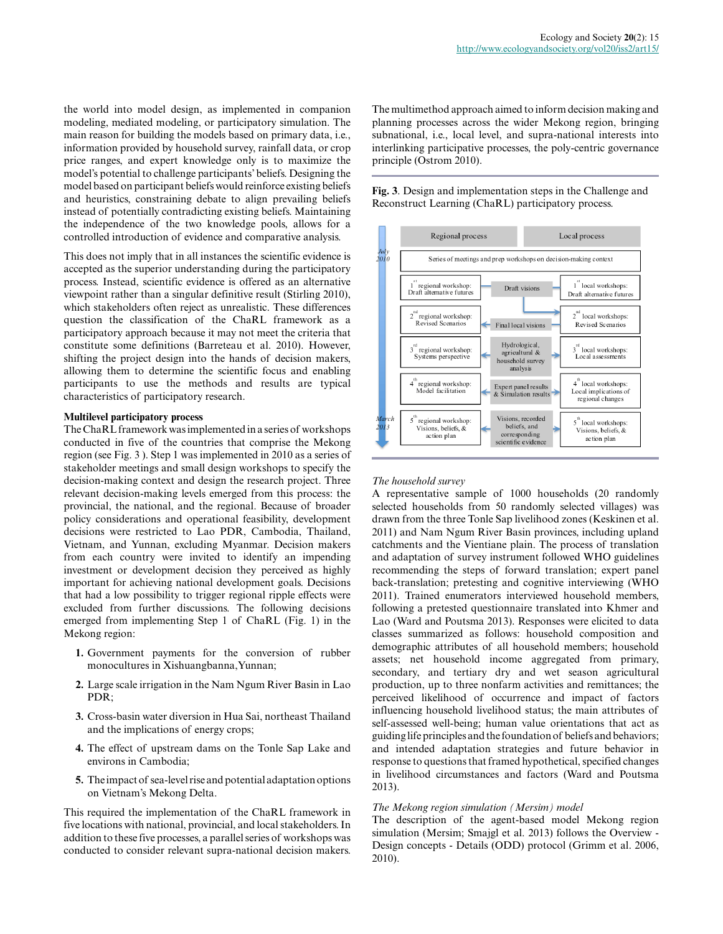the world into model design, as implemented in companion modeling, mediated modeling, or participatory simulation. The main reason for building the models based on primary data, i.e., information provided by household survey, rainfall data, or crop price ranges, and expert knowledge only is to maximize the model's potential to challenge participants' beliefs. Designing the model based on participant beliefs would reinforce existing beliefs and heuristics, constraining debate to align prevailing beliefs instead of potentially contradicting existing beliefs. Maintaining the independence of the two knowledge pools, allows for a controlled introduction of evidence and comparative analysis.

This does not imply that in all instances the scientific evidence is accepted as the superior understanding during the participatory process. Instead, scientific evidence is offered as an alternative viewpoint rather than a singular definitive result (Stirling 2010), which stakeholders often reject as unrealistic. These differences question the classification of the ChaRL framework as a participatory approach because it may not meet the criteria that constitute some definitions (Barreteau et al. 2010). However, shifting the project design into the hands of decision makers, allowing them to determine the scientific focus and enabling participants to use the methods and results are typical characteristics of participatory research.

# **Multilevel participatory process**

The ChaRL framework was implemented in a series of workshops conducted in five of the countries that comprise the Mekong region (see Fig. 3 ). Step 1 was implemented in 2010 as a series of stakeholder meetings and small design workshops to specify the decision-making context and design the research project. Three relevant decision-making levels emerged from this process: the provincial, the national, and the regional. Because of broader policy considerations and operational feasibility, development decisions were restricted to Lao PDR, Cambodia, Thailand, Vietnam, and Yunnan, excluding Myanmar. Decision makers from each country were invited to identify an impending investment or development decision they perceived as highly important for achieving national development goals. Decisions that had a low possibility to trigger regional ripple effects were excluded from further discussions. The following decisions emerged from implementing Step 1 of ChaRL (Fig. 1) in the Mekong region:

- **1.** Government payments for the conversion of rubber monocultures in Xishuangbanna,Yunnan;
- **2.** Large scale irrigation in the Nam Ngum River Basin in Lao PDR;
- **3.** Cross-basin water diversion in Hua Sai, northeast Thailand and the implications of energy crops;
- **4.** The effect of upstream dams on the Tonle Sap Lake and environs in Cambodia;
- **5.** The impact of sea-level rise and potential adaptation options on Vietnam's Mekong Delta.

This required the implementation of the ChaRL framework in five locations with national, provincial, and local stakeholders. In addition to these five processes, a parallel series of workshops was conducted to consider relevant supra-national decision makers.

The multimethod approach aimed to inform decision making and planning processes across the wider Mekong region, bringing subnational, i.e., local level, and supra-national interests into interlinking participative processes, the poly-centric governance principle (Ostrom 2010).

**Fig. 3**. Design and implementation steps in the Challenge and Reconstruct Learning (ChaRL) participatory process.



#### *The household survey*

A representative sample of 1000 households (20 randomly selected households from 50 randomly selected villages) was drawn from the three Tonle Sap livelihood zones (Keskinen et al. 2011) and Nam Ngum River Basin provinces, including upland catchments and the Vientiane plain. The process of translation and adaptation of survey instrument followed WHO guidelines recommending the steps of forward translation; expert panel back-translation; pretesting and cognitive interviewing (WHO 2011). Trained enumerators interviewed household members, following a pretested questionnaire translated into Khmer and Lao (Ward and Poutsma 2013). Responses were elicited to data classes summarized as follows: household composition and demographic attributes of all household members; household assets; net household income aggregated from primary, secondary, and tertiary dry and wet season agricultural production, up to three nonfarm activities and remittances; the perceived likelihood of occurrence and impact of factors influencing household livelihood status; the main attributes of self-assessed well-being; human value orientations that act as guiding life principles and the foundation of beliefs and behaviors; and intended adaptation strategies and future behavior in response to questions that framed hypothetical, specified changes in livelihood circumstances and factors (Ward and Poutsma 2013).

#### *The Mekong region simulation (Mersim) model*

The description of the agent-based model Mekong region simulation (Mersim; Smajgl et al. 2013) follows the Overview - Design concepts - Details (ODD) protocol (Grimm et al. 2006, 2010).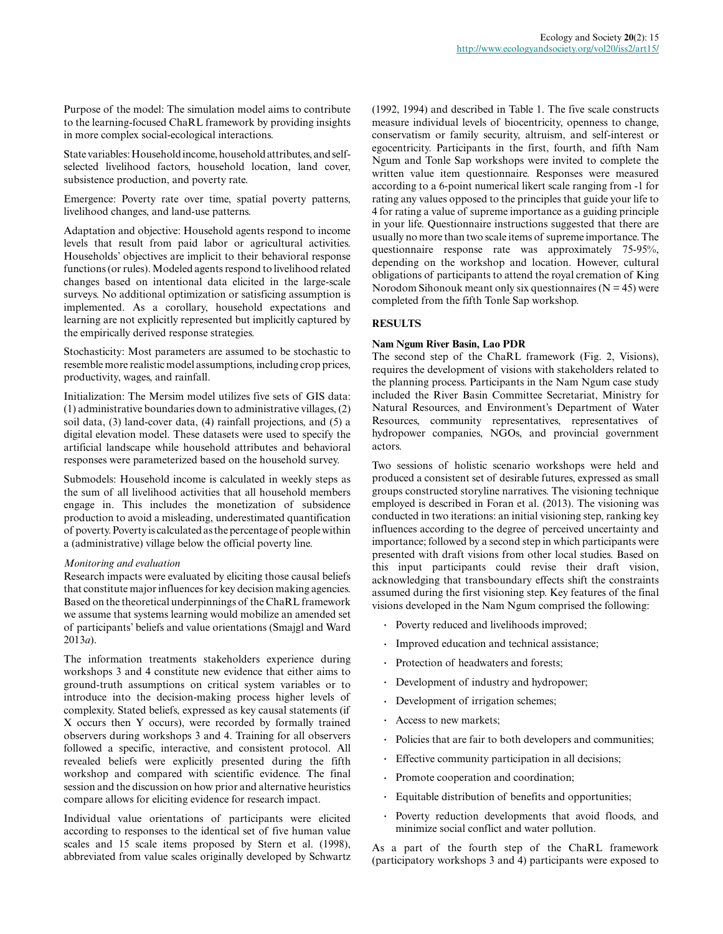Purpose of the model: The simulation model aims to contribute to the learning-focused ChaRL framework by providing insights in more complex social-ecological interactions.

State variables: Household income, household attributes, and selfselected livelihood factors, household location, land cover, subsistence production, and poverty rate.

Emergence: Poverty rate over time, spatial poverty patterns, livelihood changes, and land-use patterns.

Adaptation and objective: Household agents respond to income levels that result from paid labor or agricultural activities. Households' objectives are implicit to their behavioral response functions (or rules). Modeled agents respond to livelihood related changes based on intentional data elicited in the large-scale surveys. No additional optimization or satisficing assumption is implemented. As a corollary, household expectations and learning are not explicitly represented but implicitly captured by the empirically derived response strategies.

Stochasticity: Most parameters are assumed to be stochastic to resemble more realistic model assumptions, including crop prices, productivity, wages, and rainfall.

Initialization: The Mersim model utilizes five sets of GIS data: (1) administrative boundaries down to administrative villages, (2) soil data, (3) land-cover data, (4) rainfall projections, and (5) a digital elevation model. These datasets were used to specify the artificial landscape while household attributes and behavioral responses were parameterized based on the household survey.

Submodels: Household income is calculated in weekly steps as the sum of all livelihood activities that all household members engage in. This includes the monetization of subsidence production to avoid a misleading, underestimated quantification of poverty. Poverty is calculated as the percentage of people within a (administrative) village below the official poverty line.

## *Monitoring and evaluation*

Research impacts were evaluated by eliciting those causal beliefs that constitute major influences for key decision making agencies. Based on the theoretical underpinnings of the ChaRL framework we assume that systems learning would mobilize an amended set of participants' beliefs and value orientations (Smajgl and Ward 2013*a*).

The information treatments stakeholders experience during workshops 3 and 4 constitute new evidence that either aims to ground-truth assumptions on critical system variables or to introduce into the decision-making process higher levels of complexity. Stated beliefs, expressed as key causal statements (if X occurs then Y occurs), were recorded by formally trained observers during workshops 3 and 4. Training for all observers followed a specific, interactive, and consistent protocol. All revealed beliefs were explicitly presented during the fifth workshop and compared with scientific evidence. The final session and the discussion on how prior and alternative heuristics compare allows for eliciting evidence for research impact.

Individual value orientations of participants were elicited according to responses to the identical set of five human value scales and 15 scale items proposed by Stern et al. (1998), abbreviated from value scales originally developed by Schwartz

(1992, 1994) and described in Table 1. The five scale constructs measure individual levels of biocentricity, openness to change, conservatism or family security, altruism, and self-interest or egocentricity. Participants in the first, fourth, and fifth Nam Ngum and Tonle Sap workshops were invited to complete the written value item questionnaire. Responses were measured according to a 6-point numerical likert scale ranging from -1 for rating any values opposed to the principles that guide your life to 4 for rating a value of supreme importance as a guiding principle in your life. Questionnaire instructions suggested that there are usually no more than two scale items of supreme importance. The questionnaire response rate was approximately 75-95%, depending on the workshop and location. However, cultural obligations of participants to attend the royal cremation of King Norodom Sihonouk meant only six questionnaires  $(N = 45)$  were completed from the fifth Tonle Sap workshop.

## **RESULTS**

### **Nam Ngum River Basin, Lao PDR**

The second step of the ChaRL framework (Fig. 2, Visions), requires the development of visions with stakeholders related to the planning process. Participants in the Nam Ngum case study included the River Basin Committee Secretariat, Ministry for Natural Resources, and Environment's Department of Water Resources, community representatives, representatives of hydropower companies, NGOs, and provincial government actors.

Two sessions of holistic scenario workshops were held and produced a consistent set of desirable futures, expressed as small groups constructed storyline narratives. The visioning technique employed is described in Foran et al. (2013). The visioning was conducted in two iterations: an initial visioning step, ranking key influences according to the degree of perceived uncertainty and importance; followed by a second step in which participants were presented with draft visions from other local studies. Based on this input participants could revise their draft vision, acknowledging that transboundary effects shift the constraints assumed during the first visioning step. Key features of the final visions developed in the Nam Ngum comprised the following:

- **.** Poverty reduced and livelihoods improved;
- **.** Improved education and technical assistance;
- **.** Protection of headwaters and forests;
- **.** Development of industry and hydropower;
- **.** Development of irrigation schemes;
- **.** Access to new markets;
- **.** Policies that are fair to both developers and communities;
- **.** Effective community participation in all decisions;
- **.** Promote cooperation and coordination;
- **.** Equitable distribution of benefits and opportunities;
- **.** Poverty reduction developments that avoid floods, and minimize social conflict and water pollution.

As a part of the fourth step of the ChaRL framework (participatory workshops 3 and 4) participants were exposed to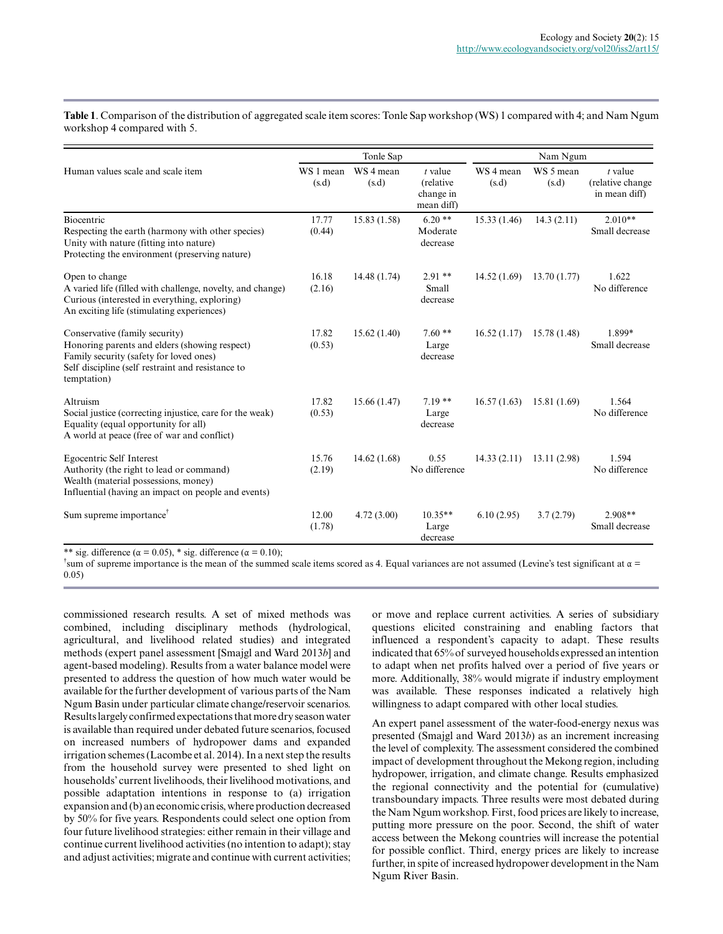**Table 1**. Comparison of the distribution of aggregated scale item scores: Tonle Sap workshop (WS) 1 compared with 4; and Nam Ngum workshop 4 compared with 5.

|                                                                                                                                                                                                | Tonle Sap          |                    |                                                           | Nam Ngum           |                    |                                                |
|------------------------------------------------------------------------------------------------------------------------------------------------------------------------------------------------|--------------------|--------------------|-----------------------------------------------------------|--------------------|--------------------|------------------------------------------------|
| Human values scale and scale item                                                                                                                                                              | WS 1 mean<br>(s.d) | WS 4 mean<br>(s.d) | $t$ value<br><i>(relative)</i><br>change in<br>mean diff) | WS 4 mean<br>(s.d) | WS 5 mean<br>(s.d) | $t$ value<br>(relative change<br>in mean diff) |
| Biocentric<br>Respecting the earth (harmony with other species)<br>Unity with nature (fitting into nature)<br>Protecting the environment (preserving nature)                                   | 17.77<br>(0.44)    | 15.83 (1.58)       | $6.20**$<br>Moderate<br>decrease                          | 15.33(1.46)        | 14.3(2.11)         | $2.010**$<br>Small decrease                    |
| Open to change<br>A varied life (filled with challenge, novelty, and change)<br>Curious (interested in everything, exploring)<br>An exciting life (stimulating experiences)                    | 16.18<br>(2.16)    | 14.48 (1.74)       | $2.91**$<br><b>Small</b><br>decrease                      | 14.52(1.69)        | 13.70 (1.77)       | 1.622<br>No difference                         |
| Conservative (family security)<br>Honoring parents and elders (showing respect)<br>Family security (safety for loved ones)<br>Self discipline (self restraint and resistance to<br>temptation) | 17.82<br>(0.53)    | 15.62(1.40)        | $7.60**$<br>Large<br>decrease                             | 16.52(1.17)        | 15.78 (1.48)       | 1.899*<br>Small decrease                       |
| Altruism<br>Social justice (correcting injustice, care for the weak)<br>Equality (equal opportunity for all)<br>A world at peace (free of war and conflict)                                    | 17.82<br>(0.53)    | 15.66(1.47)        | $7.19**$<br>Large<br>decrease                             | 16.57(1.63)        | 15.81 (1.69)       | 1.564<br>No difference                         |
| <b>Egocentric Self Interest</b><br>Authority (the right to lead or command)<br>Wealth (material possessions, money)<br>Influential (having an impact on people and events)                     | 15.76<br>(2.19)    | 14.62(1.68)        | 0.55<br>No difference                                     | 14.33(2.11)        | 13.11 (2.98)       | 1.594<br>No difference                         |
| Sum supreme importance <sup>T</sup>                                                                                                                                                            | 12.00<br>(1.78)    | 4.72(3.00)         | $10.35**$<br>Large<br>decrease                            | 6.10(2.95)         | 3.7(2.79)          | $2.908**$<br>Small decrease                    |

\*\* sig. difference ( $\alpha$  = 0.05), \* sig. difference ( $\alpha$  = 0.10);

 $\frac{1}{3}$ sum of supreme importance is the mean of the summed scale items scored as 4. Equal variances are not assumed (Levine's test significant at  $\alpha$  = 0.05)

commissioned research results. A set of mixed methods was combined, including disciplinary methods (hydrological, agricultural, and livelihood related studies) and integrated methods (expert panel assessment [Smajgl and Ward 2013*b*] and agent-based modeling). Results from a water balance model were presented to address the question of how much water would be available for the further development of various parts of the Nam Ngum Basin under particular climate change/reservoir scenarios. Results largely confirmed expectations that more dry season water is available than required under debated future scenarios, focused on increased numbers of hydropower dams and expanded irrigation schemes (Lacombe et al. 2014). In a next step the results from the household survey were presented to shed light on households' current livelihoods, their livelihood motivations, and possible adaptation intentions in response to (a) irrigation expansion and (b) an economic crisis, where production decreased by 50% for five years. Respondents could select one option from four future livelihood strategies: either remain in their village and continue current livelihood activities (no intention to adapt); stay and adjust activities; migrate and continue with current activities; or move and replace current activities. A series of subsidiary questions elicited constraining and enabling factors that influenced a respondent's capacity to adapt. These results indicated that 65% of surveyed households expressed an intention to adapt when net profits halved over a period of five years or more. Additionally, 38% would migrate if industry employment was available. These responses indicated a relatively high willingness to adapt compared with other local studies.

An expert panel assessment of the water-food-energy nexus was presented (Smajgl and Ward 2013*b*) as an increment increasing the level of complexity. The assessment considered the combined impact of development throughout the Mekong region, including hydropower, irrigation, and climate change. Results emphasized the regional connectivity and the potential for (cumulative) transboundary impacts. Three results were most debated during the Nam Ngum workshop. First, food prices are likely to increase, putting more pressure on the poor. Second, the shift of water access between the Mekong countries will increase the potential for possible conflict. Third, energy prices are likely to increase further, in spite of increased hydropower development in the Nam Ngum River Basin.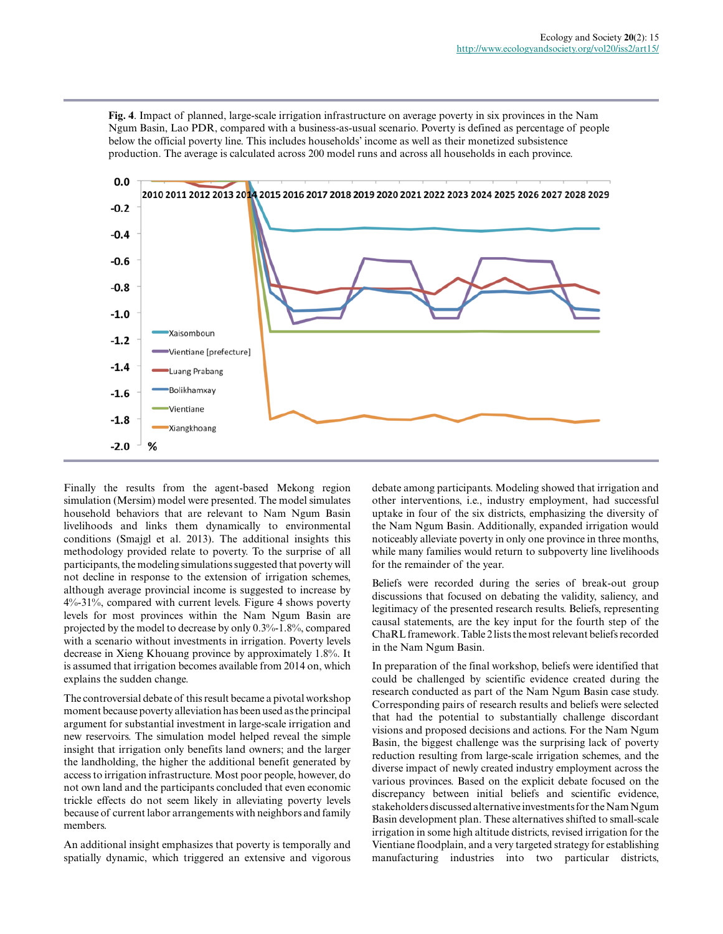**Fig. 4**. Impact of planned, large-scale irrigation infrastructure on average poverty in six provinces in the Nam Ngum Basin, Lao PDR, compared with a business-as-usual scenario. Poverty is defined as percentage of people below the official poverty line. This includes households' income as well as their monetized subsistence production. The average is calculated across 200 model runs and across all households in each province.



Finally the results from the agent-based Mekong region simulation (Mersim) model were presented. The model simulates household behaviors that are relevant to Nam Ngum Basin livelihoods and links them dynamically to environmental conditions (Smajgl et al. 2013). The additional insights this methodology provided relate to poverty. To the surprise of all participants, the modeling simulations suggested that poverty will not decline in response to the extension of irrigation schemes, although average provincial income is suggested to increase by 4%-31%, compared with current levels. Figure 4 shows poverty levels for most provinces within the Nam Ngum Basin are projected by the model to decrease by only 0.3%-1.8%, compared with a scenario without investments in irrigation. Poverty levels decrease in Xieng Khouang province by approximately 1.8%. It is assumed that irrigation becomes available from 2014 on, which explains the sudden change.

The controversial debate of this result became a pivotal workshop moment because poverty alleviation has been used as the principal argument for substantial investment in large-scale irrigation and new reservoirs. The simulation model helped reveal the simple insight that irrigation only benefits land owners; and the larger the landholding, the higher the additional benefit generated by access to irrigation infrastructure. Most poor people, however, do not own land and the participants concluded that even economic trickle effects do not seem likely in alleviating poverty levels because of current labor arrangements with neighbors and family members.

An additional insight emphasizes that poverty is temporally and spatially dynamic, which triggered an extensive and vigorous debate among participants. Modeling showed that irrigation and other interventions, i.e., industry employment, had successful uptake in four of the six districts, emphasizing the diversity of the Nam Ngum Basin. Additionally, expanded irrigation would noticeably alleviate poverty in only one province in three months, while many families would return to subpoverty line livelihoods for the remainder of the year.

Beliefs were recorded during the series of break-out group discussions that focused on debating the validity, saliency, and legitimacy of the presented research results. Beliefs, representing causal statements, are the key input for the fourth step of the ChaRL framework. Table 2 lists the most relevant beliefs recorded in the Nam Ngum Basin.

In preparation of the final workshop, beliefs were identified that could be challenged by scientific evidence created during the research conducted as part of the Nam Ngum Basin case study. Corresponding pairs of research results and beliefs were selected that had the potential to substantially challenge discordant visions and proposed decisions and actions. For the Nam Ngum Basin, the biggest challenge was the surprising lack of poverty reduction resulting from large-scale irrigation schemes, and the diverse impact of newly created industry employment across the various provinces. Based on the explicit debate focused on the discrepancy between initial beliefs and scientific evidence, stakeholders discussed alternative investments for the Nam Ngum Basin development plan. These alternatives shifted to small-scale irrigation in some high altitude districts, revised irrigation for the Vientiane floodplain, and a very targeted strategy for establishing manufacturing industries into two particular districts,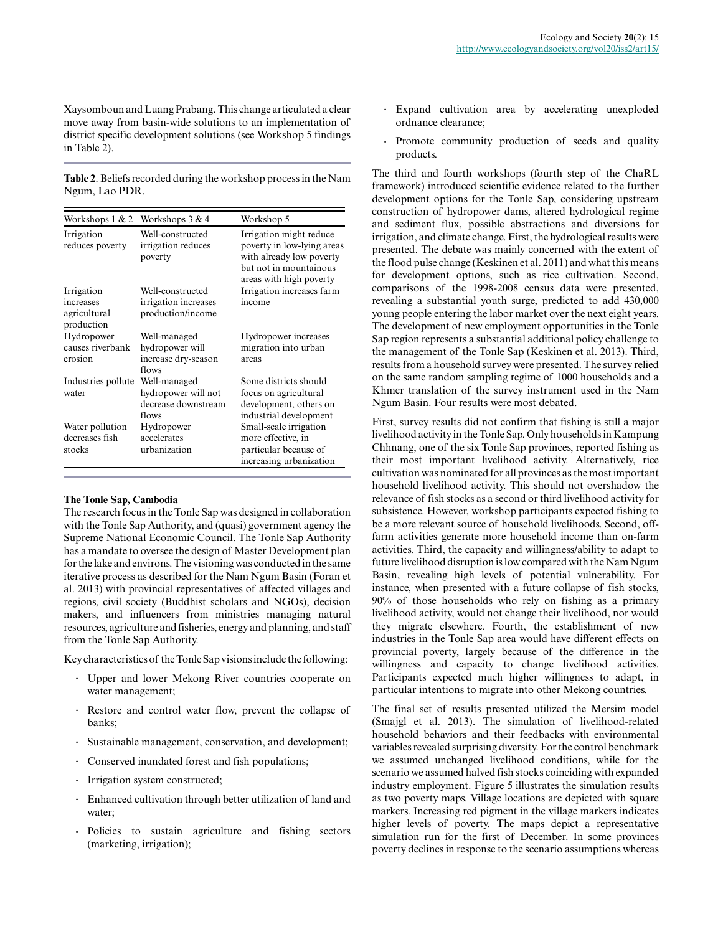Xaysomboun and Luang Prabang. This change articulated a clear move away from basin-wide solutions to an implementation of district specific development solutions (see Workshop 5 findings in Table 2).

**Table 2**. Beliefs recorded during the workshop process in the Nam Ngum, Lao PDR.

| Workshops 1 & 2                         | Workshops 3 & 4                                   | Workshop 5                                                                                                                             |
|-----------------------------------------|---------------------------------------------------|----------------------------------------------------------------------------------------------------------------------------------------|
| Irrigation<br>reduces poverty           | Well-constructed<br>irrigation reduces<br>poverty | Irrigation might reduce<br>poverty in low-lying areas<br>with already low poverty<br>but not in mountainous<br>areas with high poverty |
| Irrigation                              | Well-constructed                                  | Irrigation increases farm                                                                                                              |
| increases<br>agricultural<br>production | irrigation increases<br>production/income         | income                                                                                                                                 |
| Hydropower                              | Well-managed                                      | Hydropower increases                                                                                                                   |
| causes riverbank                        | hydropower will                                   | migration into urban                                                                                                                   |
| erosion                                 | increase dry-season<br>flows                      | areas                                                                                                                                  |
| Industries pollute                      | Well-managed                                      | Some districts should                                                                                                                  |
| water                                   | hydropower will not                               | focus on agricultural                                                                                                                  |
|                                         | decrease downstream<br>flows                      | development, others on<br>industrial development                                                                                       |
| Water pollution                         | Hydropower                                        | Small-scale irrigation                                                                                                                 |
| decreases fish                          | accelerates                                       | more effective, in                                                                                                                     |
| stocks                                  | urbanization                                      | particular because of                                                                                                                  |
|                                         |                                                   | increasing urbanization                                                                                                                |

#### **The Tonle Sap, Cambodia**

The research focus in the Tonle Sap was designed in collaboration with the Tonle Sap Authority, and (quasi) government agency the Supreme National Economic Council. The Tonle Sap Authority has a mandate to oversee the design of Master Development plan for the lake and environs. The visioning was conducted in the same iterative process as described for the Nam Ngum Basin (Foran et al. 2013) with provincial representatives of affected villages and regions, civil society (Buddhist scholars and NGOs), decision makers, and influencers from ministries managing natural resources, agriculture and fisheries, energy and planning, and staff from the Tonle Sap Authority.

Key characteristics of the Tonle Sap visions include the following:

- **.** Upper and lower Mekong River countries cooperate on water management;
- **.** Restore and control water flow, prevent the collapse of banks;
- **.** Sustainable management, conservation, and development;
- **.** Conserved inundated forest and fish populations;
- **.** Irrigation system constructed;
- **.** Enhanced cultivation through better utilization of land and water;
- **.** Policies to sustain agriculture and fishing sectors (marketing, irrigation);
- **.** Expand cultivation area by accelerating unexploded ordnance clearance;
- **.** Promote community production of seeds and quality products.

The third and fourth workshops (fourth step of the ChaRL framework) introduced scientific evidence related to the further development options for the Tonle Sap, considering upstream construction of hydropower dams, altered hydrological regime and sediment flux, possible abstractions and diversions for irrigation, and climate change. First, the hydrological results were presented. The debate was mainly concerned with the extent of the flood pulse change (Keskinen et al. 2011) and what this means for development options, such as rice cultivation. Second, comparisons of the 1998-2008 census data were presented, revealing a substantial youth surge, predicted to add 430,000 young people entering the labor market over the next eight years. The development of new employment opportunities in the Tonle Sap region represents a substantial additional policy challenge to the management of the Tonle Sap (Keskinen et al. 2013). Third, results from a household survey were presented. The survey relied on the same random sampling regime of 1000 households and a Khmer translation of the survey instrument used in the Nam Ngum Basin. Four results were most debated.

First, survey results did not confirm that fishing is still a major livelihood activity in the Tonle Sap. Only households in Kampung Chhnang, one of the six Tonle Sap provinces, reported fishing as their most important livelihood activity. Alternatively, rice cultivation was nominated for all provinces as the most important household livelihood activity. This should not overshadow the relevance of fish stocks as a second or third livelihood activity for subsistence. However, workshop participants expected fishing to be a more relevant source of household livelihoods. Second, offfarm activities generate more household income than on-farm activities. Third, the capacity and willingness/ability to adapt to future livelihood disruption is low compared with the Nam Ngum Basin, revealing high levels of potential vulnerability. For instance, when presented with a future collapse of fish stocks, 90% of those households who rely on fishing as a primary livelihood activity, would not change their livelihood, nor would they migrate elsewhere. Fourth, the establishment of new industries in the Tonle Sap area would have different effects on provincial poverty, largely because of the difference in the willingness and capacity to change livelihood activities. Participants expected much higher willingness to adapt, in particular intentions to migrate into other Mekong countries.

The final set of results presented utilized the Mersim model (Smajgl et al. 2013). The simulation of livelihood-related household behaviors and their feedbacks with environmental variables revealed surprising diversity. For the control benchmark we assumed unchanged livelihood conditions, while for the scenario we assumed halved fish stocks coinciding with expanded industry employment. Figure 5 illustrates the simulation results as two poverty maps. Village locations are depicted with square markers. Increasing red pigment in the village markers indicates higher levels of poverty. The maps depict a representative simulation run for the first of December. In some provinces poverty declines in response to the scenario assumptions whereas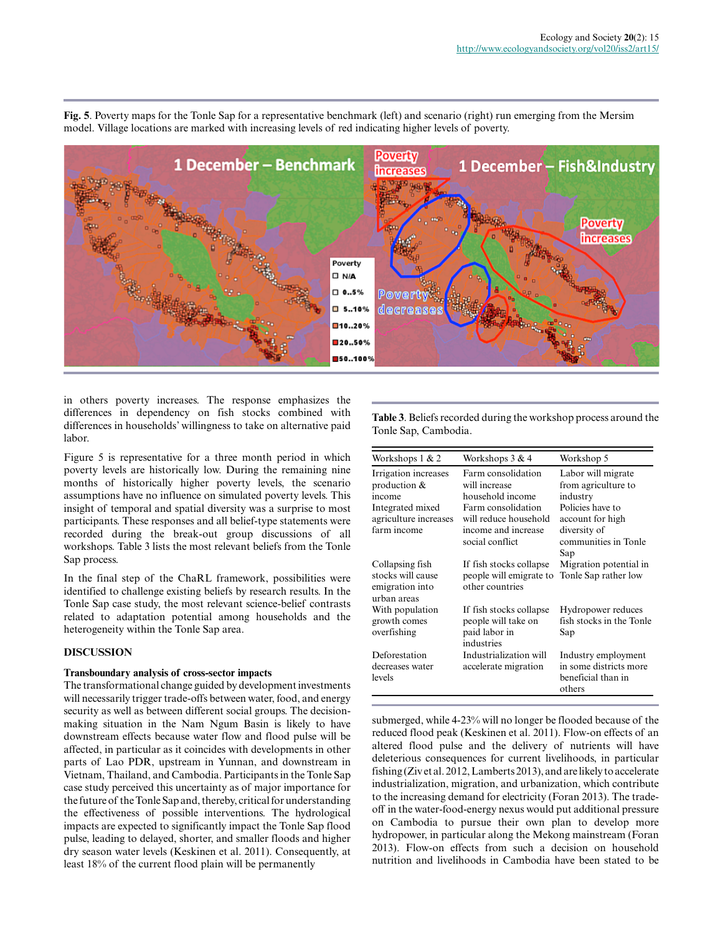

**Fig. 5**. Poverty maps for the Tonle Sap for a representative benchmark (left) and scenario (right) run emerging from the Mersim model. Village locations are marked with increasing levels of red indicating higher levels of poverty.

in others poverty increases. The response emphasizes the differences in dependency on fish stocks combined with differences in households' willingness to take on alternative paid labor.

Figure 5 is representative for a three month period in which poverty levels are historically low. During the remaining nine months of historically higher poverty levels, the scenario assumptions have no influence on simulated poverty levels. This insight of temporal and spatial diversity was a surprise to most participants. These responses and all belief-type statements were recorded during the break-out group discussions of all workshops. Table 3 lists the most relevant beliefs from the Tonle Sap process.

In the final step of the ChaRL framework, possibilities were identified to challenge existing beliefs by research results. In the Tonle Sap case study, the most relevant science-belief contrasts related to adaptation potential among households and the heterogeneity within the Tonle Sap area.

# **DISCUSSION**

## **Transboundary analysis of cross-sector impacts**

The transformational change guided by development investments will necessarily trigger trade-offs between water, food, and energy security as well as between different social groups. The decisionmaking situation in the Nam Ngum Basin is likely to have downstream effects because water flow and flood pulse will be affected, in particular as it coincides with developments in other parts of Lao PDR, upstream in Yunnan, and downstream in Vietnam, Thailand, and Cambodia. Participants in the Tonle Sap case study perceived this uncertainty as of major importance for the future of the Tonle Sap and, thereby, critical for understanding the effectiveness of possible interventions. The hydrological impacts are expected to significantly impact the Tonle Sap flood pulse, leading to delayed, shorter, and smaller floods and higher dry season water levels (Keskinen et al. 2011). Consequently, at least 18% of the current flood plain will be permanently

**Table 3**. Beliefs recorded during the workshop process around the Tonle Sap, Cambodia.

| Workshops 1 & 2                                                                                              | Workshops 3 & 4                                                                                                                                  | Workshop 5                                                                                                                                   |
|--------------------------------------------------------------------------------------------------------------|--------------------------------------------------------------------------------------------------------------------------------------------------|----------------------------------------------------------------------------------------------------------------------------------------------|
| Irrigation increases<br>production $&$<br>income<br>Integrated mixed<br>agriculture increases<br>farm income | Farm consolidation<br>will increase<br>household income<br>Farm consolidation<br>will reduce household<br>income and increase<br>social conflict | Labor will migrate<br>from agriculture to<br>industry<br>Policies have to<br>account for high<br>diversity of<br>communities in Tonle<br>Sap |
| Collapsing fish<br>stocks will cause<br>emigration into<br>urban areas                                       | If fish stocks collapse<br>people will emigrate to<br>other countries                                                                            | Migration potential in<br>Tonle Sap rather low                                                                                               |
| With population<br>growth comes<br>overfishing                                                               | If fish stocks collapse<br>people will take on<br>paid labor in<br>industries                                                                    | Hydropower reduces<br>fish stocks in the Tonle<br>Sap                                                                                        |
| Deforestation<br>decreases water<br>levels                                                                   | Industrialization will<br>accelerate migration                                                                                                   | Industry employment<br>in some districts more<br>beneficial than in<br>others                                                                |

submerged, while 4-23% will no longer be flooded because of the reduced flood peak (Keskinen et al. 2011). Flow-on effects of an altered flood pulse and the delivery of nutrients will have deleterious consequences for current livelihoods, in particular fishing (Ziv et al. 2012, Lamberts 2013), and are likely to accelerate industrialization, migration, and urbanization, which contribute to the increasing demand for electricity (Foran 2013). The tradeoff in the water-food-energy nexus would put additional pressure on Cambodia to pursue their own plan to develop more hydropower, in particular along the Mekong mainstream (Foran 2013). Flow-on effects from such a decision on household nutrition and livelihoods in Cambodia have been stated to be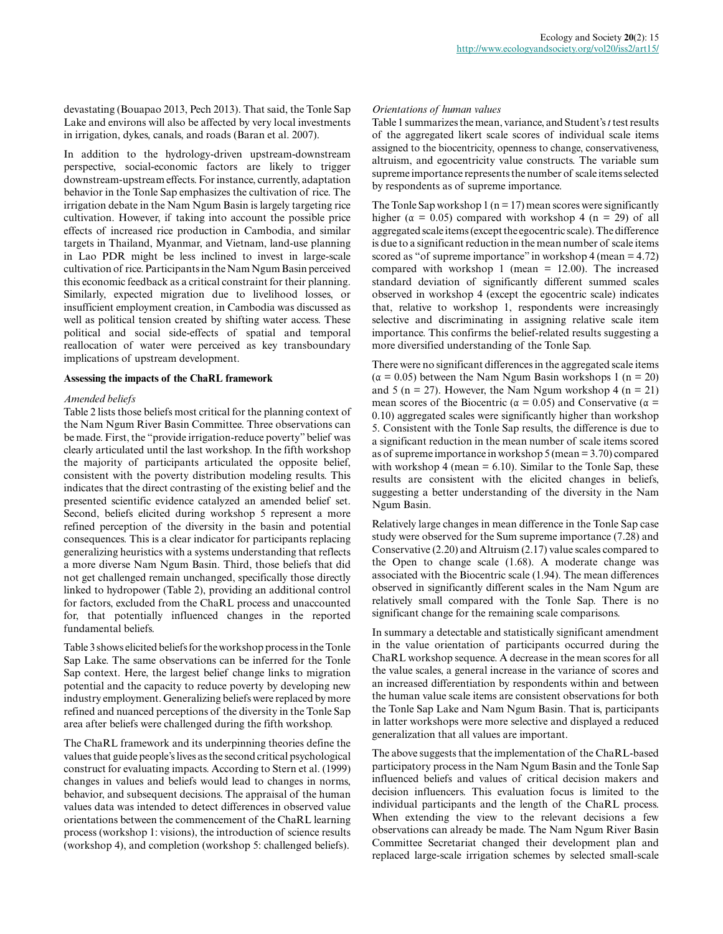devastating (Bouapao 2013, Pech 2013). That said, the Tonle Sap Lake and environs will also be affected by very local investments in irrigation, dykes, canals, and roads (Baran et al. 2007).

In addition to the hydrology-driven upstream-downstream perspective, social-economic factors are likely to trigger downstream-upstream effects. For instance, currently, adaptation behavior in the Tonle Sap emphasizes the cultivation of rice. The irrigation debate in the Nam Ngum Basin is largely targeting rice cultivation. However, if taking into account the possible price effects of increased rice production in Cambodia, and similar targets in Thailand, Myanmar, and Vietnam, land-use planning in Lao PDR might be less inclined to invest in large-scale cultivation of rice. Participants in the Nam Ngum Basin perceived this economic feedback as a critical constraint for their planning. Similarly, expected migration due to livelihood losses, or insufficient employment creation, in Cambodia was discussed as well as political tension created by shifting water access. These political and social side-effects of spatial and temporal reallocation of water were perceived as key transboundary implications of upstream development.

## **Assessing the impacts of the ChaRL framework**

### *Amended beliefs*

Table 2 lists those beliefs most critical for the planning context of the Nam Ngum River Basin Committee. Three observations can be made. First, the "provide irrigation-reduce poverty" belief was clearly articulated until the last workshop. In the fifth workshop the majority of participants articulated the opposite belief, consistent with the poverty distribution modeling results. This indicates that the direct contrasting of the existing belief and the presented scientific evidence catalyzed an amended belief set. Second, beliefs elicited during workshop 5 represent a more refined perception of the diversity in the basin and potential consequences. This is a clear indicator for participants replacing generalizing heuristics with a systems understanding that reflects a more diverse Nam Ngum Basin. Third, those beliefs that did not get challenged remain unchanged, specifically those directly linked to hydropower (Table 2), providing an additional control for factors, excluded from the ChaRL process and unaccounted for, that potentially influenced changes in the reported fundamental beliefs.

Table 3 shows elicited beliefs for the workshop process in the Tonle Sap Lake. The same observations can be inferred for the Tonle Sap context. Here, the largest belief change links to migration potential and the capacity to reduce poverty by developing new industry employment. Generalizing beliefs were replaced by more refined and nuanced perceptions of the diversity in the Tonle Sap area after beliefs were challenged during the fifth workshop.

The ChaRL framework and its underpinning theories define the values that guide people's lives as the second critical psychological construct for evaluating impacts. According to Stern et al. (1999) changes in values and beliefs would lead to changes in norms, behavior, and subsequent decisions. The appraisal of the human values data was intended to detect differences in observed value orientations between the commencement of the ChaRL learning process (workshop 1: visions), the introduction of science results (workshop 4), and completion (workshop 5: challenged beliefs).

# *Orientations of human values*

Table 1 summarizes the mean, variance, and Student's *t* test results of the aggregated likert scale scores of individual scale items assigned to the biocentricity, openness to change, conservativeness, altruism, and egocentricity value constructs. The variable sum supreme importance represents the number of scale items selected by respondents as of supreme importance.

The Tonle Sap workshop 1 ( $n = 17$ ) mean scores were significantly higher ( $\alpha = 0.05$ ) compared with workshop 4 (n = 29) of all aggregated scale items (except the egocentric scale). The difference is due to a significant reduction in the mean number of scale items scored as "of supreme importance" in workshop 4 (mean = 4.72) compared with workshop 1 (mean = 12.00). The increased standard deviation of significantly different summed scales observed in workshop 4 (except the egocentric scale) indicates that, relative to workshop 1, respondents were increasingly selective and discriminating in assigning relative scale item importance. This confirms the belief-related results suggesting a more diversified understanding of the Tonle Sap.

There were no significant differences in the aggregated scale items  $(\alpha = 0.05)$  between the Nam Ngum Basin workshops 1 (n = 20) and 5 (n = 27). However, the Nam Ngum workshop 4 (n = 21) mean scores of the Biocentric ( $\alpha = 0.05$ ) and Conservative ( $\alpha =$ 0.10) aggregated scales were significantly higher than workshop 5. Consistent with the Tonle Sap results, the difference is due to a significant reduction in the mean number of scale items scored as of supreme importance in workshop 5 (mean = 3.70) compared with workshop 4 (mean  $= 6.10$ ). Similar to the Tonle Sap, these results are consistent with the elicited changes in beliefs, suggesting a better understanding of the diversity in the Nam Ngum Basin.

Relatively large changes in mean difference in the Tonle Sap case study were observed for the Sum supreme importance (7.28) and Conservative (2.20) and Altruism (2.17) value scales compared to the Open to change scale (1.68). A moderate change was associated with the Biocentric scale (1.94). The mean differences observed in significantly different scales in the Nam Ngum are relatively small compared with the Tonle Sap. There is no significant change for the remaining scale comparisons.

In summary a detectable and statistically significant amendment in the value orientation of participants occurred during the ChaRL workshop sequence. A decrease in the mean scores for all the value scales, a general increase in the variance of scores and an increased differentiation by respondents within and between the human value scale items are consistent observations for both the Tonle Sap Lake and Nam Ngum Basin. That is, participants in latter workshops were more selective and displayed a reduced generalization that all values are important.

The above suggests that the implementation of the ChaRL-based participatory process in the Nam Ngum Basin and the Tonle Sap influenced beliefs and values of critical decision makers and decision influencers. This evaluation focus is limited to the individual participants and the length of the ChaRL process. When extending the view to the relevant decisions a few observations can already be made. The Nam Ngum River Basin Committee Secretariat changed their development plan and replaced large-scale irrigation schemes by selected small-scale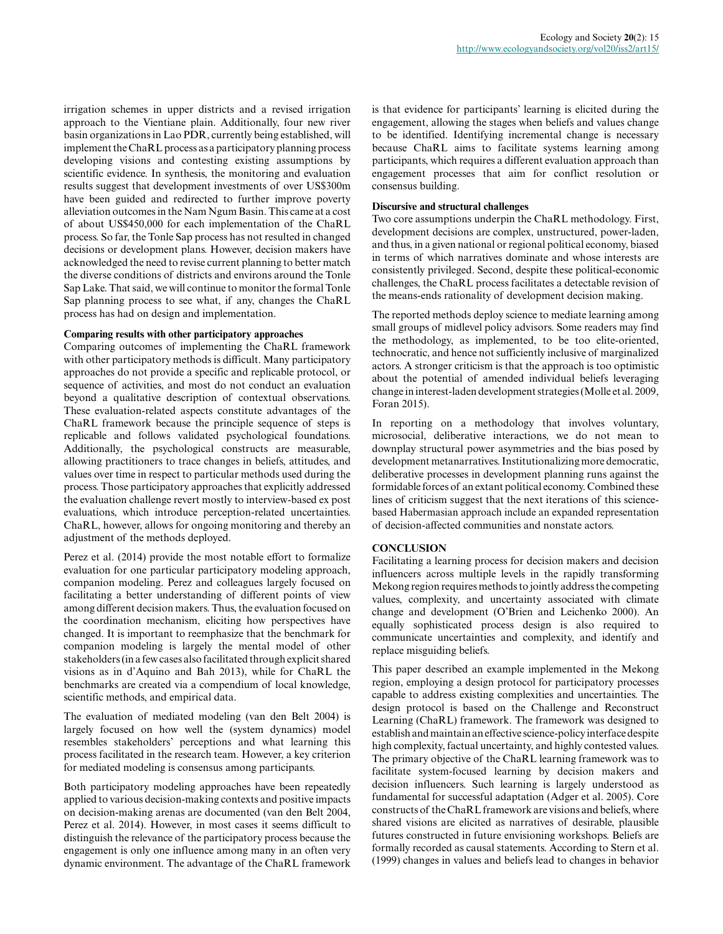irrigation schemes in upper districts and a revised irrigation approach to the Vientiane plain. Additionally, four new river basin organizations in Lao PDR, currently being established, will implement the ChaRL process as a participatory planning process developing visions and contesting existing assumptions by scientific evidence. In synthesis, the monitoring and evaluation results suggest that development investments of over US\$300m have been guided and redirected to further improve poverty alleviation outcomes in the Nam Ngum Basin. This came at a cost of about US\$450,000 for each implementation of the ChaRL process. So far, the Tonle Sap process has not resulted in changed decisions or development plans. However, decision makers have acknowledged the need to revise current planning to better match the diverse conditions of districts and environs around the Tonle Sap Lake. That said, we will continue to monitor the formal Tonle Sap planning process to see what, if any, changes the ChaRL process has had on design and implementation.

## **Comparing results with other participatory approaches**

Comparing outcomes of implementing the ChaRL framework with other participatory methods is difficult. Many participatory approaches do not provide a specific and replicable protocol, or sequence of activities, and most do not conduct an evaluation beyond a qualitative description of contextual observations. These evaluation-related aspects constitute advantages of the ChaRL framework because the principle sequence of steps is replicable and follows validated psychological foundations. Additionally, the psychological constructs are measurable, allowing practitioners to trace changes in beliefs, attitudes, and values over time in respect to particular methods used during the process. Those participatory approaches that explicitly addressed the evaluation challenge revert mostly to interview-based ex post evaluations, which introduce perception-related uncertainties. ChaRL, however, allows for ongoing monitoring and thereby an adjustment of the methods deployed.

Perez et al. (2014) provide the most notable effort to formalize evaluation for one particular participatory modeling approach, companion modeling. Perez and colleagues largely focused on facilitating a better understanding of different points of view among different decision makers. Thus, the evaluation focused on the coordination mechanism, eliciting how perspectives have changed. It is important to reemphasize that the benchmark for companion modeling is largely the mental model of other stakeholders (in a few cases also facilitated through explicit shared visions as in d'Aquino and Bah 2013), while for ChaRL the benchmarks are created via a compendium of local knowledge, scientific methods, and empirical data.

The evaluation of mediated modeling (van den Belt 2004) is largely focused on how well the (system dynamics) model resembles stakeholders' perceptions and what learning this process facilitated in the research team. However, a key criterion for mediated modeling is consensus among participants.

Both participatory modeling approaches have been repeatedly applied to various decision-making contexts and positive impacts on decision-making arenas are documented (van den Belt 2004, Perez et al. 2014). However, in most cases it seems difficult to distinguish the relevance of the participatory process because the engagement is only one influence among many in an often very dynamic environment. The advantage of the ChaRL framework

is that evidence for participants' learning is elicited during the engagement, allowing the stages when beliefs and values change to be identified. Identifying incremental change is necessary because ChaRL aims to facilitate systems learning among participants, which requires a different evaluation approach than engagement processes that aim for conflict resolution or consensus building.

# **Discursive and structural challenges**

Two core assumptions underpin the ChaRL methodology. First, development decisions are complex, unstructured, power-laden, and thus, in a given national or regional political economy, biased in terms of which narratives dominate and whose interests are consistently privileged. Second, despite these political-economic challenges, the ChaRL process facilitates a detectable revision of the means-ends rationality of development decision making.

The reported methods deploy science to mediate learning among small groups of midlevel policy advisors. Some readers may find the methodology, as implemented, to be too elite-oriented, technocratic, and hence not sufficiently inclusive of marginalized actors. A stronger criticism is that the approach is too optimistic about the potential of amended individual beliefs leveraging change in interest-laden development strategies (Molle et al. 2009, Foran 2015).

In reporting on a methodology that involves voluntary, microsocial, deliberative interactions, we do not mean to downplay structural power asymmetries and the bias posed by development metanarratives. Institutionalizing more democratic, deliberative processes in development planning runs against the formidable forces of an extant political economy. Combined these lines of criticism suggest that the next iterations of this sciencebased Habermasian approach include an expanded representation of decision-affected communities and nonstate actors.

# **CONCLUSION**

Facilitating a learning process for decision makers and decision influencers across multiple levels in the rapidly transforming Mekong region requires methods to jointly address the competing values, complexity, and uncertainty associated with climate change and development (O'Brien and Leichenko 2000). An equally sophisticated process design is also required to communicate uncertainties and complexity, and identify and replace misguiding beliefs.

This paper described an example implemented in the Mekong region, employing a design protocol for participatory processes capable to address existing complexities and uncertainties. The design protocol is based on the Challenge and Reconstruct Learning (ChaRL) framework. The framework was designed to establish and maintain an effective science-policy interface despite high complexity, factual uncertainty, and highly contested values. The primary objective of the ChaRL learning framework was to facilitate system-focused learning by decision makers and decision influencers. Such learning is largely understood as fundamental for successful adaptation (Adger et al. 2005). Core constructs of the ChaRL framework are visions and beliefs, where shared visions are elicited as narratives of desirable, plausible futures constructed in future envisioning workshops. Beliefs are formally recorded as causal statements. According to Stern et al. (1999) changes in values and beliefs lead to changes in behavior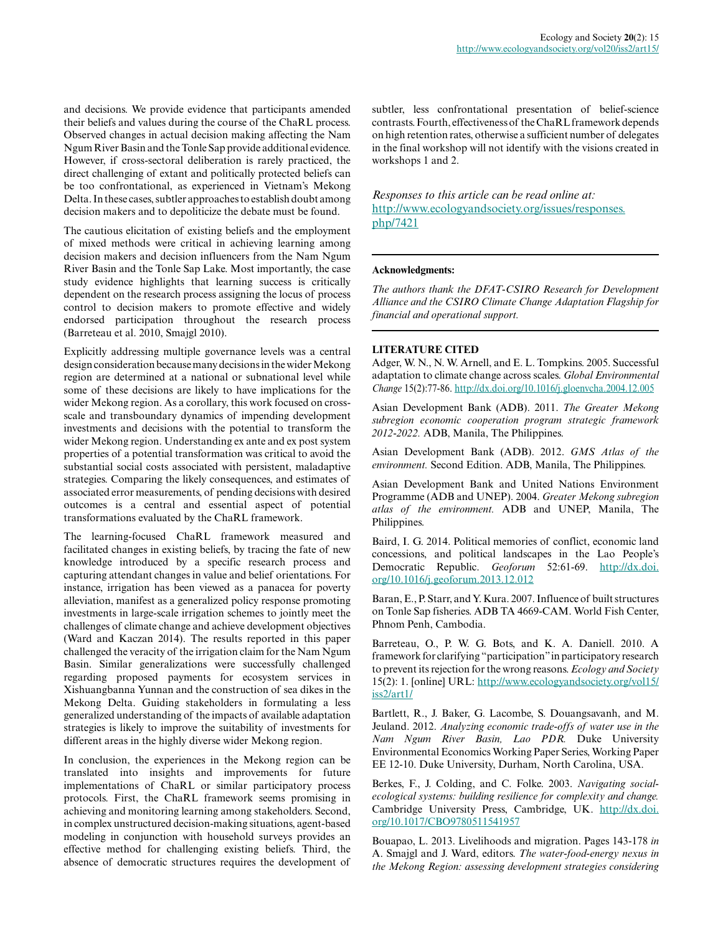and decisions. We provide evidence that participants amended their beliefs and values during the course of the ChaRL process. Observed changes in actual decision making affecting the Nam Ngum River Basin and the Tonle Sap provide additional evidence. However, if cross-sectoral deliberation is rarely practiced, the direct challenging of extant and politically protected beliefs can be too confrontational, as experienced in Vietnam's Mekong Delta. In these cases, subtler approaches to establish doubt among decision makers and to depoliticize the debate must be found.

The cautious elicitation of existing beliefs and the employment of mixed methods were critical in achieving learning among decision makers and decision influencers from the Nam Ngum River Basin and the Tonle Sap Lake. Most importantly, the case study evidence highlights that learning success is critically dependent on the research process assigning the locus of process control to decision makers to promote effective and widely endorsed participation throughout the research process (Barreteau et al. 2010, Smajgl 2010).

Explicitly addressing multiple governance levels was a central design consideration because many decisions in the wider Mekong region are determined at a national or subnational level while some of these decisions are likely to have implications for the wider Mekong region. As a corollary, this work focused on crossscale and transboundary dynamics of impending development investments and decisions with the potential to transform the wider Mekong region. Understanding ex ante and ex post system properties of a potential transformation was critical to avoid the substantial social costs associated with persistent, maladaptive strategies. Comparing the likely consequences, and estimates of associated error measurements, of pending decisions with desired outcomes is a central and essential aspect of potential transformations evaluated by the ChaRL framework.

The learning-focused ChaRL framework measured and facilitated changes in existing beliefs, by tracing the fate of new knowledge introduced by a specific research process and capturing attendant changes in value and belief orientations. For instance, irrigation has been viewed as a panacea for poverty alleviation, manifest as a generalized policy response promoting investments in large-scale irrigation schemes to jointly meet the challenges of climate change and achieve development objectives (Ward and Kaczan 2014). The results reported in this paper challenged the veracity of the irrigation claim for the Nam Ngum Basin. Similar generalizations were successfully challenged regarding proposed payments for ecosystem services in Xishuangbanna Yunnan and the construction of sea dikes in the Mekong Delta. Guiding stakeholders in formulating a less generalized understanding of the impacts of available adaptation strategies is likely to improve the suitability of investments for different areas in the highly diverse wider Mekong region.

In conclusion, the experiences in the Mekong region can be translated into insights and improvements for future implementations of ChaRL or similar participatory process protocols. First, the ChaRL framework seems promising in achieving and monitoring learning among stakeholders. Second, in complex unstructured decision-making situations, agent-based modeling in conjunction with household surveys provides an effective method for challenging existing beliefs. Third, the absence of democratic structures requires the development of

subtler, less confrontational presentation of belief-science contrasts. Fourth, effectiveness of the ChaRL framework depends on high retention rates, otherwise a sufficient number of delegates in the final workshop will not identify with the visions created in workshops 1 and 2.

*Responses to this article can be read online at:* [http://www.ecologyandsociety.org/issues/responses.](http://www.ecologyandsociety.org/issues/responses.php/7421) [php/7421](http://www.ecologyandsociety.org/issues/responses.php/7421)

## **Acknowledgments:**

*The authors thank the DFAT-CSIRO Research for Development Alliance and the CSIRO Climate Change Adaptation Flagship for financial and operational support.*

## **LITERATURE CITED**

Adger, W. N., N. W. Arnell, and E. L. Tompkins. 2005. Successful adaptation to climate change across scales. *Global Environmental Change* 15(2):77-86. [http://dx.doi.org/10.1016/j.gloenvcha.2004.12.005](http://dx.doi.org/10.1016%2Fj.gloenvcha.2004.12.005) 

Asian Development Bank (ADB). 2011. *The Greater Mekong subregion economic cooperation program strategic framework 2012-2022.* ADB, Manila, The Philippines.

Asian Development Bank (ADB). 2012. *GMS Atlas of the environment.* Second Edition. ADB, Manila, The Philippines.

Asian Development Bank and United Nations Environment Programme (ADB and UNEP). 2004. *Greater Mekong subregion atlas of the environment.* ADB and UNEP, Manila, The Philippines.

Baird, I. G. 2014. Political memories of conflict, economic land concessions, and political landscapes in the Lao People's Democratic Republic. *Geoforum* 52:61-69. [http://dx.doi.](http://dx.doi.org/10.1016%2Fj.geoforum.2013.12.012) [org/10.1016/j.geoforum.2013.12.012](http://dx.doi.org/10.1016%2Fj.geoforum.2013.12.012) 

Baran, E., P. Starr, and Y. Kura. 2007. Influence of built structures on Tonle Sap fisheries. ADB TA 4669-CAM. World Fish Center, Phnom Penh, Cambodia.

Barreteau, O., P. W. G. Bots, and K. A. Daniell. 2010. A framework for clarifying "participation" in participatory research to prevent its rejection for the wrong reasons. *Ecology and Society* 15(2): 1. [online] URL: [http://www.ecologyandsociety.org/vol15/](http://www.ecologyandsociety.org/vol15/iss2/art1/) [iss2/art1/](http://www.ecologyandsociety.org/vol15/iss2/art1/)

Bartlett, R., J. Baker, G. Lacombe, S. Douangsavanh, and M. Jeuland. 2012. *Analyzing economic trade-offs of water use in the Nam Ngum River Basin, Lao PDR.* Duke University Environmental Economics Working Paper Series, Working Paper EE 12-10. Duke University, Durham, North Carolina, USA.

Berkes, F., J. Colding, and C. Folke. 2003. *Navigating socialecological systems: building resilience for complexity and change.* Cambridge University Press, Cambridge, UK. [http://dx.doi.](http://dx.doi.org/10.1017%2FCBO9780511541957) [org/10.1017/CBO9780511541957](http://dx.doi.org/10.1017%2FCBO9780511541957)

Bouapao, L. 2013. Livelihoods and migration. Pages 143-178 *in* A. Smajgl and J. Ward, editors. *The water-food-energy nexus in the Mekong Region: assessing development strategies considering*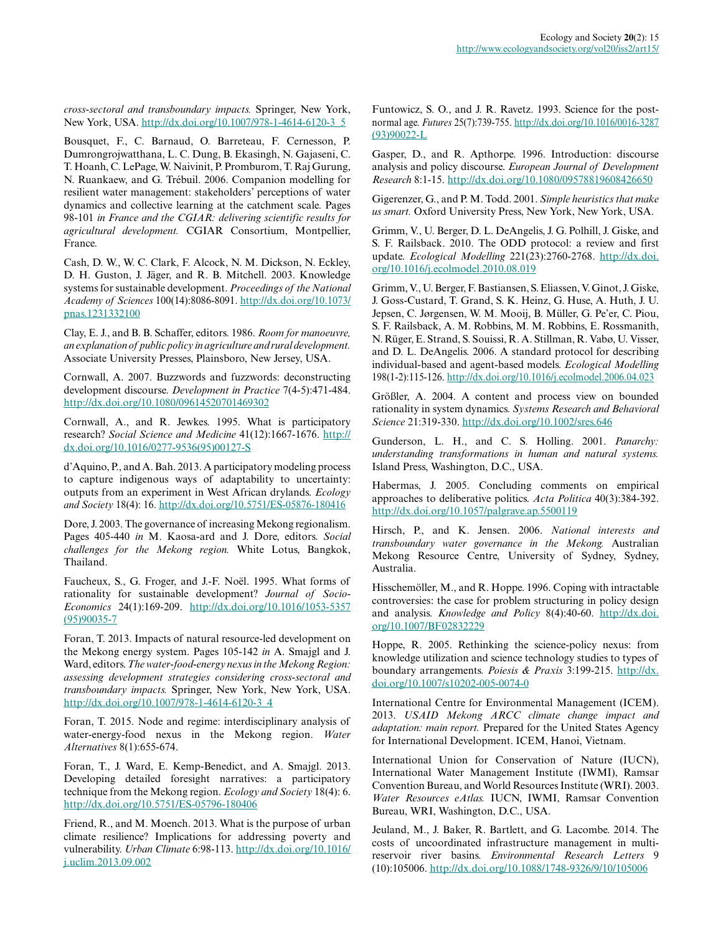*cross-sectoral and transboundary impacts.* Springer, New York, New York, USA. [http://dx.doi.org/10.1007/978-1-4614-6120-3\\_5](http://dx.doi.org/10.1007%2F978-1-4614-6120-3_5) 

Bousquet, F., C. Barnaud, O. Barreteau, F. Cernesson, P. Dumrongrojwatthana, L. C. Dung, B. Ekasingh, N. Gajaseni, C. T. Hoanh, C. LePage, W. Naivinit, P. Promburom, T. Raj Gurung, N. Ruankaew, and G. Trébuil. 2006. Companion modelling for resilient water management: stakeholders' perceptions of water dynamics and collective learning at the catchment scale. Pages 98-101 *in France and the CGIAR: delivering scientific results for agricultural development.* CGIAR Consortium, Montpellier, France.

Cash, D. W., W. C. Clark, F. Alcock, N. M. Dickson, N. Eckley, D. H. Guston, J. Jäger, and R. B. Mitchell. 2003. Knowledge systems for sustainable development. *Proceedings of the National Academy of Sciences* 100(14):8086-8091. [http://dx.doi.org/10.1073/](http://dx.doi.org/10.1073%2Fpnas.1231332100) [pnas.1231332100](http://dx.doi.org/10.1073%2Fpnas.1231332100) 

Clay, E. J., and B. B. Schaffer, editors. 1986. *Room for manoeuvre, an explanation of public policy in agriculture and rural development.* Associate University Presses, Plainsboro, New Jersey, USA.

Cornwall, A. 2007. Buzzwords and fuzzwords: deconstructing development discourse. *Development in Practice* 7(4-5):471-484. [http://dx.doi.org/10.1080/09614520701469302](http://dx.doi.org/10.1080%2F09614520701469302) 

Cornwall, A., and R. Jewkes. 1995. What is participatory research? *Social Science and Medicine* 41(12):1667-1676. [http://](http://dx.doi.org/10.1016%2F0277-9536%2895%2900127-S) [dx.doi.org/10.1016/0277-9536\(95\)00127-S](http://dx.doi.org/10.1016%2F0277-9536%2895%2900127-S)

d'Aquino, P., and A. Bah. 2013. A participatory modeling process to capture indigenous ways of adaptability to uncertainty: outputs from an experiment in West African drylands. *Ecology and Society* 18(4): 16. [http://dx.doi.org/10.5751/ES-05876-180416](http://dx.doi.org/10.5751%2FES-05876-180416) 

Dore, J. 2003. The governance of increasing Mekong regionalism. Pages 405-440 *in* M. Kaosa-ard and J. Dore, editors. *Social challenges for the Mekong region.* White Lotus, Bangkok, Thailand.

Faucheux, S., G. Froger, and J.-F. Noël. 1995. What forms of rationality for sustainable development? *Journal of Socio-Economics* 24(1):169-209. [http://dx.doi.org/10.1016/1053-5357](http://dx.doi.org/10.1016%2F1053-5357%2895%2990035-7) [\(95\)90035-7](http://dx.doi.org/10.1016%2F1053-5357%2895%2990035-7) 

Foran, T. 2013. Impacts of natural resource-led development on the Mekong energy system. Pages 105-142 *in* A. Smajgl and J. Ward, editors. *The water-food-energy nexus in the Mekong Region: assessing development strategies considering cross-sectoral and transboundary impacts.* Springer, New York, New York, USA. [http://dx.doi.org/10.1007/978-1-4614-6120-3\\_4](http://dx.doi.org/10.1007%2F978-1-4614-6120-3_4) 

Foran, T. 2015. Node and regime: interdisciplinary analysis of water-energy-food nexus in the Mekong region. *Water Alternatives* 8(1):655-674.

Foran, T., J. Ward, E. Kemp-Benedict, and A. Smajgl. 2013. Developing detailed foresight narratives: a participatory technique from the Mekong region. *Ecology and Society* 18(4): 6. [http://dx.doi.org/10.5751/ES-05796-180406](http://dx.doi.org/10.5751%2FES-05796-180406) 

Friend, R., and M. Moench. 2013. What is the purpose of urban climate resilience? Implications for addressing poverty and vulnerability. *Urban Climate* 6:98-113. [http://dx.doi.org/10.1016/](http://dx.doi.org/10.1016%2Fj.uclim.2013.09.002) [j.uclim.2013.09.002](http://dx.doi.org/10.1016%2Fj.uclim.2013.09.002) 

Funtowicz, S. O., and J. R. Ravetz. 1993. Science for the postnormal age. *Futures* 25(7):739-755. [http://dx.doi.org/10.1016/0016-3287](http://dx.doi.org/10.1016%2F0016-3287%2893%2990022-L) [\(93\)90022-L](http://dx.doi.org/10.1016%2F0016-3287%2893%2990022-L)

Gasper, D., and R. Apthorpe. 1996. Introduction: discourse analysis and policy discourse. *European Journal of Development Research* 8:1-15. [http://dx.doi.org/10.1080/09578819608426650](http://dx.doi.org/10.1080%2F09578819608426650) 

Gigerenzer, G., and P. M. Todd. 2001. *Simple heuristics that make us smart.* Oxford University Press, New York, New York, USA.

Grimm, V., U. Berger, D. L. DeAngelis, J. G. Polhill, J. Giske, and S. F. Railsback. 2010. The ODD protocol: a review and first update. *Ecological Modelling* 221(23):2760-2768. [http://dx.doi.](http://dx.doi.org/10.1016%2Fj.ecolmodel.2010.08.019) [org/10.1016/j.ecolmodel.2010.08.019](http://dx.doi.org/10.1016%2Fj.ecolmodel.2010.08.019) 

Grimm, V., U. Berger, F. Bastiansen, S. Eliassen, V. Ginot, J. Giske, J. Goss-Custard, T. Grand, S. K. Heinz, G. Huse, A. Huth, J. U. Jepsen, C. Jørgensen, W. M. Mooij, B. Müller, G. Pe'er, C. Piou, S. F. Railsback, A. M. Robbins, M. M. Robbins, E. Rossmanith, N. Rüger, E. Strand, S. Souissi, R. A. Stillman, R. Vabø, U. Visser, and D. L. DeAngelis. 2006. A standard protocol for describing individual-based and agent-based models. *Ecological Modelling* 198(1-2):115-126. [http://dx.doi.org/10.1016/j.ecolmodel.2006.04.023](http://dx.doi.org/10.1016%2Fj.ecolmodel.2006.04.023) 

Größler, A. 2004. A content and process view on bounded rationality in system dynamics. *Systems Research and Behavioral Science* 21:319-330. [http://dx.doi.org/10.1002/sres.646](http://dx.doi.org/10.1002%2Fsres.646)

Gunderson, L. H., and C. S. Holling. 2001. *Panarchy: understanding transformations in human and natural systems.* Island Press, Washington, D.C., USA.

Habermas, J. 2005. Concluding comments on empirical approaches to deliberative politics. *Acta Politica* 40(3):384-392. [http://dx.doi.org/10.1057/palgrave.ap.5500119](http://dx.doi.org/10.1057%2Fpalgrave.ap.5500119) 

Hirsch, P., and K. Jensen. 2006. *National interests and transboundary water governance in the Mekong.* Australian Mekong Resource Centre, University of Sydney, Sydney, Australia.

Hisschemöller, M., and R. Hoppe. 1996. Coping with intractable controversies: the case for problem structuring in policy design and analysis. *Knowledge and Policy* 8(4):40-60. [http://dx.doi.](http://dx.doi.org/10.1007%2FBF02832229) [org/10.1007/BF02832229](http://dx.doi.org/10.1007%2FBF02832229)

Hoppe, R. 2005. Rethinking the science-policy nexus: from knowledge utilization and science technology studies to types of boundary arrangements. *Poiesis & Praxis* 3:199-215. [http://dx.](http://dx.doi.org/10.1007%2Fs10202-005-0074-0) [doi.org/10.1007/s10202-005-0074-0](http://dx.doi.org/10.1007%2Fs10202-005-0074-0) 

International Centre for Environmental Management (ICEM). 2013. *USAID Mekong ARCC climate change impact and adaptation: main report.* Prepared for the United States Agency for International Development. ICEM, Hanoi, Vietnam.

International Union for Conservation of Nature (IUCN), International Water Management Institute (IWMI), Ramsar Convention Bureau, and World Resources Institute (WRI). 2003. *Water Resources eAtlas.* IUCN, IWMI, Ramsar Convention Bureau, WRI, Washington, D.C., USA.

Jeuland, M., J. Baker, R. Bartlett, and G. Lacombe. 2014. The costs of uncoordinated infrastructure management in multireservoir river basins. *Environmental Research Letters* 9 (10):105006. [http://dx.doi.org/10.1088/1748-9326/9/10/105006](http://dx.doi.org/10.1088%2F1748-9326%2F9%2F10%2F105006)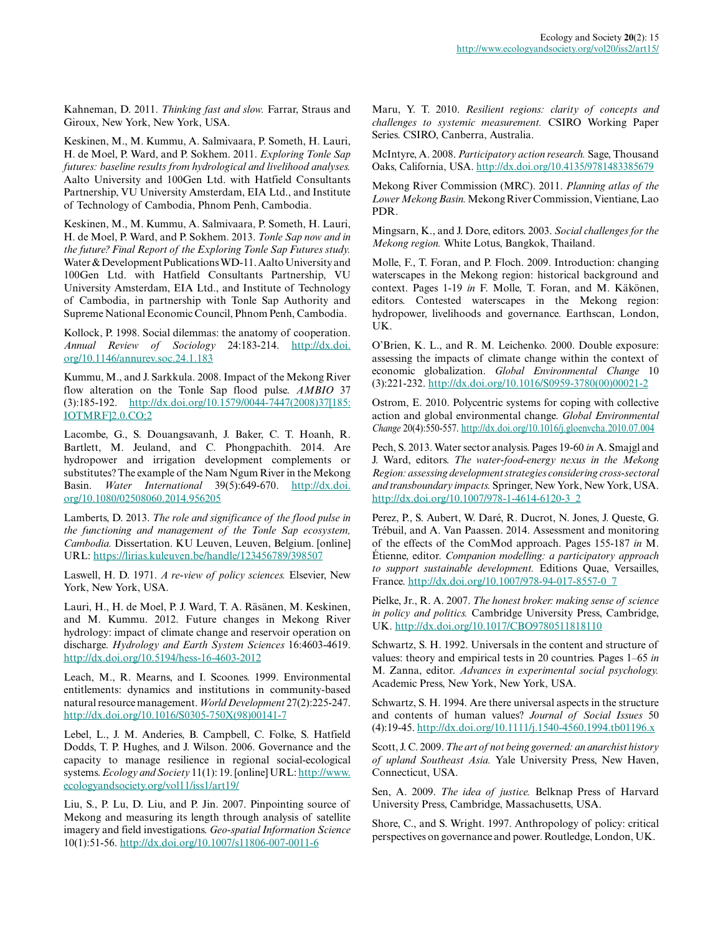Kahneman, D. 2011. *Thinking fast and slow.* Farrar, Straus and Giroux, New York, New York, USA.

Keskinen, M., M. Kummu, A. Salmivaara, P. Someth, H. Lauri, H. de Moel, P. Ward, and P. Sokhem. 2011. *Exploring Tonle Sap futures: baseline results from hydrological and livelihood analyses.* Aalto University and 100Gen Ltd. with Hatfield Consultants Partnership, VU University Amsterdam, EIA Ltd., and Institute of Technology of Cambodia, Phnom Penh, Cambodia.

Keskinen, M., M. Kummu, A. Salmivaara, P. Someth, H. Lauri, H. de Moel, P. Ward, and P. Sokhem. 2013. *Tonle Sap now and in the future? Final Report of the Exploring Tonle Sap Futures study.* Water & Development Publications WD-11. Aalto University and 100Gen Ltd. with Hatfield Consultants Partnership, VU University Amsterdam, EIA Ltd., and Institute of Technology of Cambodia, in partnership with Tonle Sap Authority and Supreme National Economic Council, Phnom Penh, Cambodia.

Kollock, P. 1998. Social dilemmas: the anatomy of cooperation. *Annual Review of Sociology* 24:183-214. [http://dx.doi.](http://dx.doi.org/10.1146%2Fannurev.soc.24.1.183) [org/10.1146/annurev.soc.24.1.183](http://dx.doi.org/10.1146%2Fannurev.soc.24.1.183)

Kummu, M., and J. Sarkkula. 2008. Impact of the Mekong River flow alteration on the Tonle Sap flood pulse. *AMBIO* 37 (3):185-192. [http://dx.doi.org/10.1579/0044-7447\(2008\)37\[185:](http://dx.doi.org/10.1579%2F0044-7447%282008%2937%5B185%3AIOTMRF%5D2.0.CO%3B2) [IOTMRF\]2.0.CO;2](http://dx.doi.org/10.1579%2F0044-7447%282008%2937%5B185%3AIOTMRF%5D2.0.CO%3B2) 

Lacombe, G., S. Douangsavanh, J. Baker, C. T. Hoanh, R. Bartlett, M. Jeuland, and C. Phongpachith. 2014. Are hydropower and irrigation development complements or substitutes? The example of the Nam Ngum River in the Mekong Basin. *Water International* 39(5):649-670. [http://dx.doi.](http://dx.doi.org/10.1080%2F02508060.2014.956205) [org/10.1080/02508060.2014.956205](http://dx.doi.org/10.1080%2F02508060.2014.956205)

Lamberts, D. 2013. *The role and significance of the flood pulse in the functioning and management of the Tonle Sap ecosystem, Cambodia.* Dissertation. KU Leuven, Leuven, Belgium. [online] URL:<https://lirias.kuleuven.be/handle/123456789/398507>

Laswell, H. D. 1971. *A re-view of policy sciences.* Elsevier, New York, New York, USA.

Lauri, H., H. de Moel, P. J. Ward, T. A. Räsänen, M. Keskinen, and M. Kummu. 2012. Future changes in Mekong River hydrology: impact of climate change and reservoir operation on discharge. *Hydrology and Earth System Sciences* 16:4603-4619. [http://dx.doi.org/10.5194/hess-16-4603-2012](http://dx.doi.org/10.5194%2Fhess-16-4603-2012)

Leach, M., R. Mearns, and I. Scoones. 1999. Environmental entitlements: dynamics and institutions in community-based natural resource management. *World Development* 27(2):225-247. [http://dx.doi.org/10.1016/S0305-750X\(98\)00141-7](http://dx.doi.org/10.1016%2FS0305-750X%2898%2900141-7) 

Lebel, L., J. M. Anderies, B. Campbell, C. Folke, S. Hatfield Dodds, T. P. Hughes, and J. Wilson. 2006. Governance and the capacity to manage resilience in regional social-ecological systems. *Ecology and Society* 11(1): 19. [online] URL: [http://www.](http://www.ecologyandsociety.org/vol11/iss1/art19/) [ecologyandsociety.org/vol11/iss1/art19/](http://www.ecologyandsociety.org/vol11/iss1/art19/)

Liu, S., P. Lu, D. Liu, and P. Jin. 2007. Pinpointing source of Mekong and measuring its length through analysis of satellite imagery and field investigations. *Geo-spatial Information Science* 10(1):51-56. [http://dx.doi.org/10.1007/s11806-007-0011-6](http://dx.doi.org/10.1007%2Fs11806-007-0011-6) 

Maru, Y. T. 2010. *Resilient regions: clarity of concepts and challenges to systemic measurement.* CSIRO Working Paper Series. CSIRO, Canberra, Australia.

McIntyre, A. 2008. *Participatory action research.* Sage, Thousand Oaks, California, USA. [http://dx.doi.org/10.4135/9781483385679](http://dx.doi.org/10.4135%2F9781483385679) 

Mekong River Commission (MRC). 2011. *Planning atlas of the Lower Mekong Basin.* Mekong River Commission, Vientiane, Lao PDR.

Mingsarn, K., and J. Dore, editors. 2003. *Social challenges for the Mekong region.* White Lotus, Bangkok, Thailand.

Molle, F., T. Foran, and P. Floch. 2009. Introduction: changing waterscapes in the Mekong region: historical background and context. Pages 1-19 *in* F. Molle, T. Foran, and M. Käkönen, editors. Contested waterscapes in the Mekong region: hydropower, livelihoods and governance. Earthscan, London, UK.

O'Brien, K. L., and R. M. Leichenko. 2000. Double exposure: assessing the impacts of climate change within the context of economic globalization. *Global Environmental Change* 10 (3):221-232. [http://dx.doi.org/10.1016/S0959-3780\(00\)00021-2](http://dx.doi.org/10.1016%2FS0959-3780%2800%2900021-2) 

Ostrom, E. 2010. Polycentric systems for coping with collective action and global environmental change. *Global Environmental Change* 20(4):550-557. [http://dx.doi.org/10.1016/j.gloenvcha.2010.07.004](http://dx.doi.org/10.1016%2Fj.gloenvcha.2010.07.004)

Pech, S. 2013. Water sector analysis. Pages 19-60 *in* A. Smajgl and J. Ward, editors. *The water-food-energy nexus in the Mekong Region: assessing development strategies considering cross-sectoral and transboundary impacts.* Springer, New York, New York, USA. [http://dx.doi.org/10.1007/978-1-4614-6120-3\\_2](http://dx.doi.org/10.1007%2F978-1-4614-6120-3_2) 

Perez, P., S. Aubert, W. Daré, R. Ducrot, N. Jones, J. Queste, G. Trébuil, and A. Van Paassen. 2014. Assessment and monitoring of the effects of the ComMod approach. Pages 155-187 *in* M. Étienne, editor. *Companion modelling: a participatory approach to support sustainable development.* Editions Quae, Versailles, France. [http://dx.doi.org/10.1007/978-94-017-8557-0\\_7](http://dx.doi.org/10.1007%2F978-94-017-8557-0_7)

Pielke, Jr., R. A. 2007. *The honest broker: making sense of science in policy and politics.* Cambridge University Press, Cambridge, UK. [http://dx.doi.org/10.1017/CBO9780511818110](http://dx.doi.org/10.1017%2FCBO9780511818110) 

Schwartz, S. H. 1992. Universals in the content and structure of values: theory and empirical tests in 20 countries. Pages 1–65 *in* M. Zanna, editor. *Advances in experimental social psychology.* Academic Press, New York, New York, USA.

Schwartz, S. H. 1994. Are there universal aspects in the structure and contents of human values? *Journal of Social Issues* 50 (4):19-45.<http://dx.doi.org/10.1111/j.1540-4560.1994.tb01196.x>

Scott, J. C. 2009. *The art of not being governed: an anarchist history of upland Southeast Asia.* Yale University Press, New Haven, Connecticut, USA.

Sen, A. 2009. *The idea of justice.* Belknap Press of Harvard University Press, Cambridge, Massachusetts, USA.

Shore, C., and S. Wright. 1997. Anthropology of policy: critical perspectives on governance and power. Routledge, London, UK.